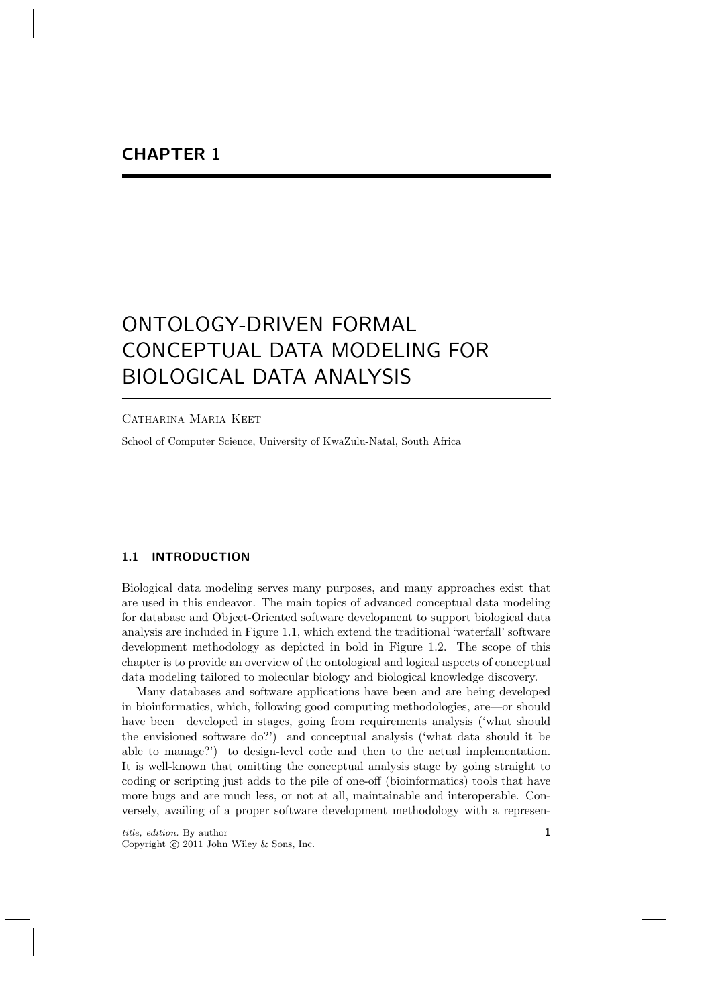#### Catharina Maria Keet

School of Computer Science, University of KwaZulu-Natal, South Africa

# 1.1 INTRODUCTION

Biological data modeling serves many purposes, and many approaches exist that are used in this endeavor. The main topics of advanced conceptual data modeling for database and Object-Oriented software development to support biological data analysis are included in Figure 1.1, which extend the traditional 'waterfall' software development methodology as depicted in bold in Figure 1.2. The scope of this chapter is to provide an overview of the ontological and logical aspects of conceptual data modeling tailored to molecular biology and biological knowledge discovery.

Many databases and software applications have been and are being developed in bioinformatics, which, following good computing methodologies, are—or should have been—developed in stages, going from requirements analysis ('what should the envisioned software do?') and conceptual analysis ('what data should it be able to manage?') to design-level code and then to the actual implementation. It is well-known that omitting the conceptual analysis stage by going straight to coding or scripting just adds to the pile of one-off (bioinformatics) tools that have more bugs and are much less, or not at all, maintainable and interoperable. Conversely, availing of a proper software development methodology with a represen-

title, edition. By author Copyright  $\odot$  2011 John Wiley & Sons, Inc.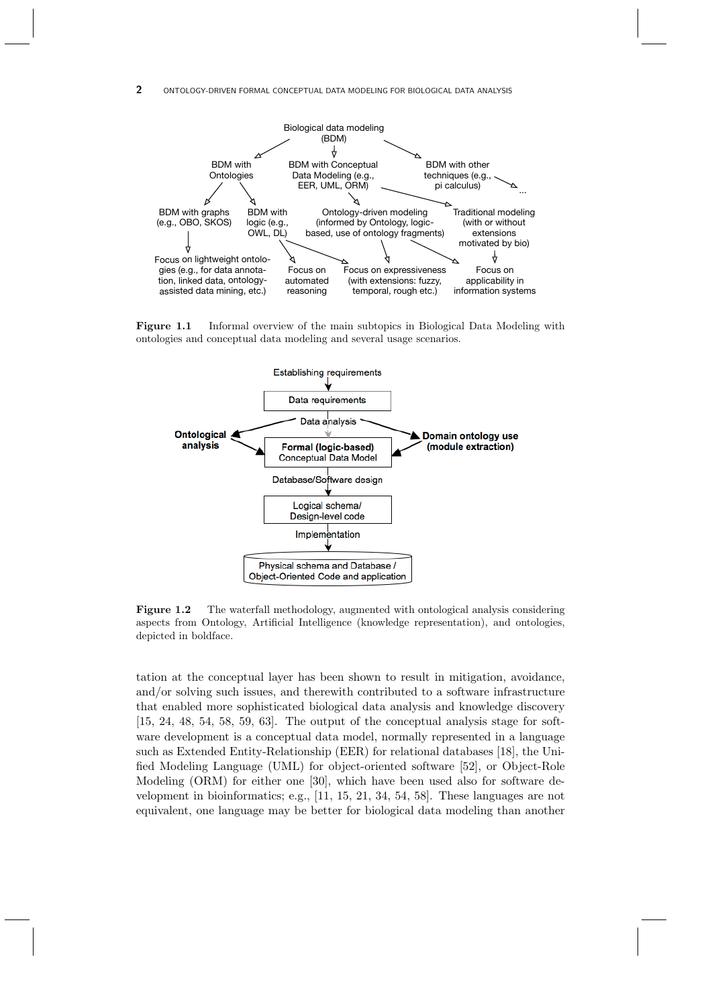

Figure 1.1 Informal overview of the main subtopics in Biological Data Modeling with ontologies and conceptual data modeling and several usage scenarios.



Figure 1.2 The waterfall methodology, augmented with ontological analysis considering aspects from Ontology, Artificial Intelligence (knowledge representation), and ontologies, depicted in boldface.

tation at the conceptual layer has been shown to result in mitigation, avoidance, and/or solving such issues, and therewith contributed to a software infrastructure that enabled more sophisticated biological data analysis and knowledge discovery [15, 24, 48, 54, 58, 59, 63]. The output of the conceptual analysis stage for software development is a conceptual data model, normally represented in a language such as Extended Entity-Relationship (EER) for relational databases [18], the Unified Modeling Language (UML) for object-oriented software [52], or Object-Role Modeling (ORM) for either one [30], which have been used also for software development in bioinformatics; e.g., [11, 15, 21, 34, 54, 58]. These languages are not equivalent, one language may be better for biological data modeling than another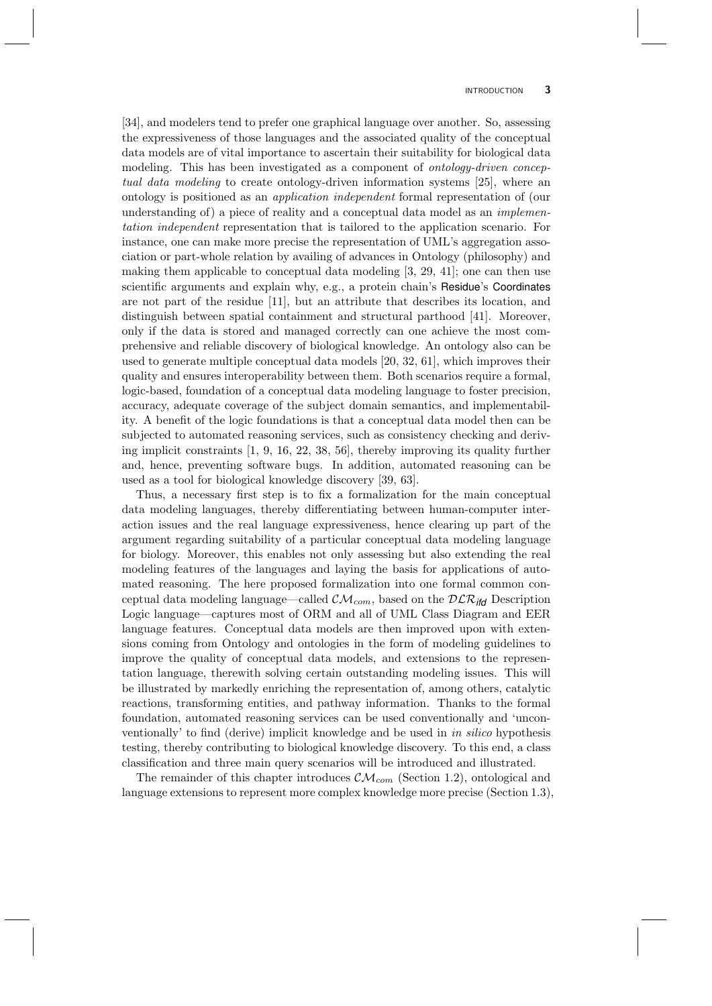[34], and modelers tend to prefer one graphical language over another. So, assessing the expressiveness of those languages and the associated quality of the conceptual data models are of vital importance to ascertain their suitability for biological data modeling. This has been investigated as a component of *ontology-driven concep*tual data modeling to create ontology-driven information systems [25], where an ontology is positioned as an application independent formal representation of (our understanding of) a piece of reality and a conceptual data model as an implementation independent representation that is tailored to the application scenario. For instance, one can make more precise the representation of UML's aggregation association or part-whole relation by availing of advances in Ontology (philosophy) and making them applicable to conceptual data modeling [3, 29, 41]; one can then use scientific arguments and explain why, e.g., a protein chain's Residue's Coordinates are not part of the residue [11], but an attribute that describes its location, and distinguish between spatial containment and structural parthood [41]. Moreover, only if the data is stored and managed correctly can one achieve the most comprehensive and reliable discovery of biological knowledge. An ontology also can be used to generate multiple conceptual data models [20, 32, 61], which improves their quality and ensures interoperability between them. Both scenarios require a formal, logic-based, foundation of a conceptual data modeling language to foster precision, accuracy, adequate coverage of the subject domain semantics, and implementability. A benefit of the logic foundations is that a conceptual data model then can be subjected to automated reasoning services, such as consistency checking and deriving implicit constraints [1, 9, 16, 22, 38, 56], thereby improving its quality further and, hence, preventing software bugs. In addition, automated reasoning can be used as a tool for biological knowledge discovery [39, 63].

Thus, a necessary first step is to fix a formalization for the main conceptual data modeling languages, thereby differentiating between human-computer interaction issues and the real language expressiveness, hence clearing up part of the argument regarding suitability of a particular conceptual data modeling language for biology. Moreover, this enables not only assessing but also extending the real modeling features of the languages and laying the basis for applications of automated reasoning. The here proposed formalization into one formal common conceptual data modeling language—called  $\mathcal{CM}_{com}$ , based on the  $\mathcal{DLR}_{\textit{ifd}}$  Description Logic language—captures most of ORM and all of UML Class Diagram and EER language features. Conceptual data models are then improved upon with extensions coming from Ontology and ontologies in the form of modeling guidelines to improve the quality of conceptual data models, and extensions to the representation language, therewith solving certain outstanding modeling issues. This will be illustrated by markedly enriching the representation of, among others, catalytic reactions, transforming entities, and pathway information. Thanks to the formal foundation, automated reasoning services can be used conventionally and 'unconventionally' to find (derive) implicit knowledge and be used in in silico hypothesis testing, thereby contributing to biological knowledge discovery. To this end, a class classification and three main query scenarios will be introduced and illustrated.

The remainder of this chapter introduces  $\mathcal{CM}_{com}$  (Section 1.2), ontological and language extensions to represent more complex knowledge more precise (Section 1.3),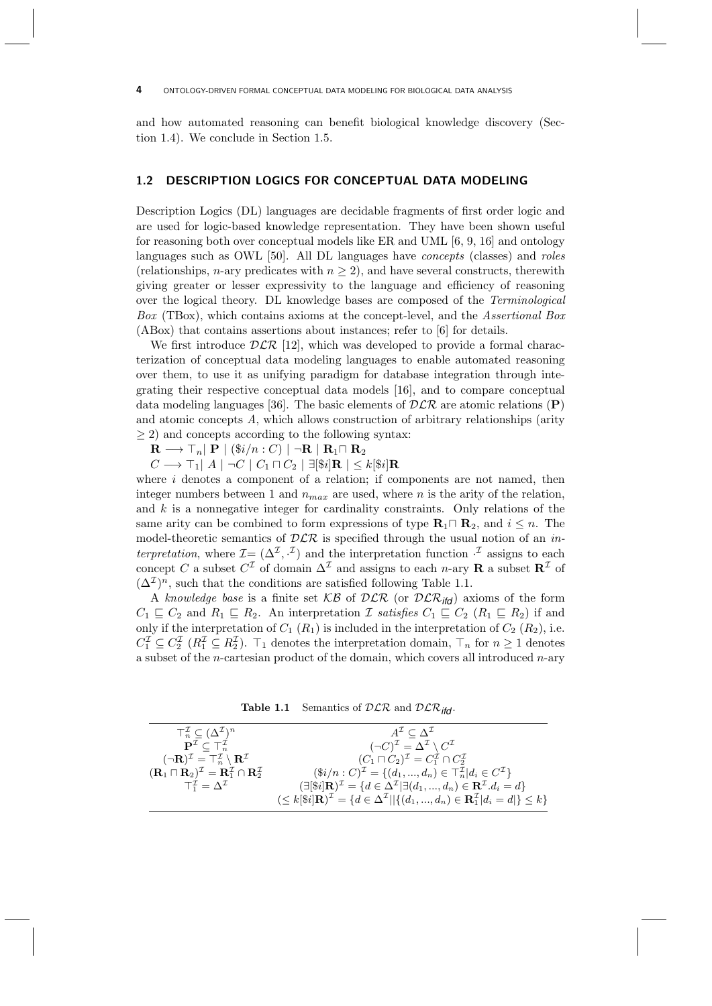and how automated reasoning can benefit biological knowledge discovery (Section 1.4). We conclude in Section 1.5.

## 1.2 DESCRIPTION LOGICS FOR CONCEPTUAL DATA MODELING

Description Logics (DL) languages are decidable fragments of first order logic and are used for logic-based knowledge representation. They have been shown useful for reasoning both over conceptual models like ER and UML [6, 9, 16] and ontology languages such as OWL [50]. All DL languages have concepts (classes) and roles (relationships, *n*-ary predicates with  $n \geq 2$ ), and have several constructs, therewith giving greater or lesser expressivity to the language and efficiency of reasoning over the logical theory. DL knowledge bases are composed of the Terminological Box (TBox), which contains axioms at the concept-level, and the Assertional Box (ABox) that contains assertions about instances; refer to [6] for details.

We first introduce  $DLR$  [12], which was developed to provide a formal characterization of conceptual data modeling languages to enable automated reasoning over them, to use it as unifying paradigm for database integration through integrating their respective conceptual data models [16], and to compare conceptual data modeling languages [36]. The basic elements of  $DLR$  are atomic relations (P) and atomic concepts A, which allows construction of arbitrary relationships (arity  $>$  2) and concepts according to the following syntax:

 $\mathbf{R} \longrightarrow \mathsf{T}_n |\mathbf{P}| (\$i/n : C) |\neg \mathbf{R} | \mathbf{R}_1 \sqcap \mathbf{R}_2$ 

 $C \longrightarrow \top_1 |A| \neg C |C_1 \sqcap C_2 | \exists [\$i] \mathbf{R} | \leq k[\$i] \mathbf{R}$ 

where  $i$  denotes a component of a relation; if components are not named, then integer numbers between 1 and  $n_{max}$  are used, where n is the arity of the relation, and  $k$  is a nonnegative integer for cardinality constraints. Only relations of the same arity can be combined to form expressions of type  $\mathbf{R}_1 \cap \mathbf{R}_2$ , and  $i \leq n$ . The model-theoretic semantics of  $D\mathcal{LR}$  is specified through the usual notion of an interpretation, where  $\mathcal{I} = (\Delta^{\mathcal{I}}, \cdot^{\mathcal{I}})$  and the interpretation function  $\cdot^{\mathcal{I}}$  assigns to each concept C a subset  $C^{\mathcal{I}}$  of domain  $\Delta^{\mathcal{I}}$  and assigns to each n-ary **R** a subset  $\mathbb{R}^{\mathcal{I}}$  of  $(\Delta^{\mathcal{I}})^n$ , such that the conditions are satisfied following Table 1.1.

A knowledge base is a finite set  $KB$  of  $DLR$  (or  $DLR$ <sub>ifd</sub>) axioms of the form  $C_1 \subseteq C_2$  and  $R_1 \subseteq R_2$ . An interpretation I satisfies  $C_1 \subseteq C_2$  ( $R_1 \subseteq R_2$ ) if and only if the interpretation of  $C_1(R_1)$  is included in the interpretation of  $C_2(R_2)$ , i.e.  $C_1^{\mathcal{I}} \subseteq C_2^{\mathcal{I}}$   $(R_1^{\mathcal{I}} \subseteq R_2^{\mathcal{I}})$ .  $\top_1$  denotes the interpretation domain,  $\top_n$  for  $n \geq 1$  denotes a subset of the n-cartesian product of the domain, which covers all introduced n-ary

Table 1.1 Semantics of  $DLR$  and  $DLR$ <sub>ifd</sub>.

| $\top_n^{\mathcal{I}} \subseteq (\Delta^{\mathcal{I}})^n$                                                       | $A^{\mathcal{I}} \subset \Delta^{\mathcal{I}}$                                                                                                  |
|-----------------------------------------------------------------------------------------------------------------|-------------------------------------------------------------------------------------------------------------------------------------------------|
| $\mathbf{P}^\mathcal{I} \subset \top_n^\mathcal{I}$                                                             | $(\neg C)^{\mathcal{I}} = \Delta^{\mathcal{I}} \setminus C^{\mathcal{I}}$                                                                       |
| $(\neg \mathbf{R})^{\mathcal{I}} = \top_n^{\mathcal{I}} \setminus \mathbf{R}^{\mathcal{I}}$                     | $(C_1 \sqcap C_2)^{\mathcal{I}} = C_1^{\mathcal{I}} \cap C_2^{\mathcal{I}}$                                                                     |
| $(\mathbf{R}_1 \sqcap \mathbf{R}_2)^{\mathcal{I}} = \mathbf{R}_1^{\mathcal{I}} \cap \mathbf{R}_2^{\mathcal{I}}$ | $(\$i/n : C)^{\mathcal{I}} = \{(d_1, , d_n) \in \top_n^{\mathcal{I}}   d_i \in C^{\mathcal{I}}\}\$                                              |
| $\top_1^{\mathcal{I}} = \Delta^{\mathcal{I}}$                                                                   | $(\exists [\$i] \mathbf{R})^{\mathcal{I}} = \{d \in \Delta^{\mathcal{I}}   \exists (d_1, , d_n) \in \mathbf{R}^{\mathcal{I}}. d_i = d\}$        |
|                                                                                                                 | $(\leq k[\$i] \mathbf{R})^{\mathcal{I}} = \{d \in \Delta^{\mathcal{I}}    \{(d_1, , d_n) \in \mathbf{R}_1^{\mathcal{I}}   d_i = d  \} \leq k\}$ |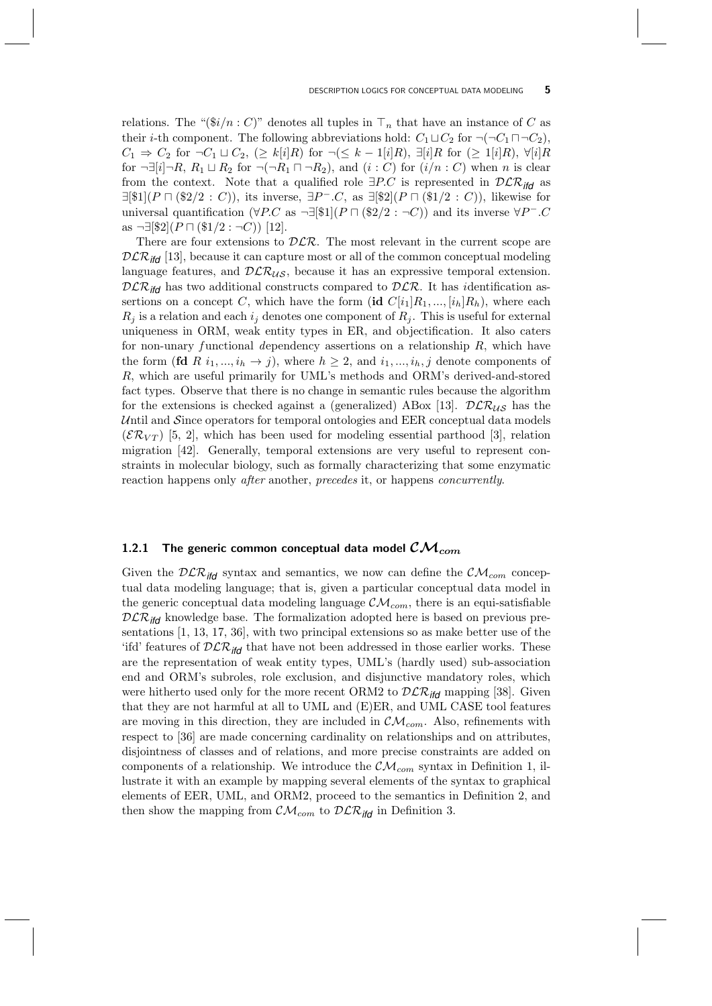relations. The " $(\frac{6i}{n} : C)$ " denotes all tuples in  $\top_n$  that have an instance of C as their *i*-th component. The following abbreviations hold:  $C_1 \sqcup C_2$  for  $\neg(\neg C_1 \sqcap \neg C_2)$ ,  $C_1 \Rightarrow C_2$  for  $\neg C_1 \sqcup C_2$ ,  $(\geq k[i]R)$  for  $\neg(\leq k-1[i]R)$ ,  $\exists [i]R$  for  $(\geq 1[i]R)$ ,  $\forall [i]R$ for  $\neg\exists[i]\neg R, R_1 \sqcup R_2$  for  $\neg(\neg R_1 \sqcap \neg R_2)$ , and  $(i : C)$  for  $(i/n : C)$  when n is clear from the context. Note that a qualified role ∃P.C is represented in DLR*ifd* as  $\exists [\$1](P \sqcap (\$2/2 : C)),$  its inverse,  $\exists P^- . C$ , as  $\exists [\$2](P \sqcap (\$1/2 : C)),$  likewise for universal quantification  $(\forall P.C \text{ as } \neg \exists [\$1](P \sqcap (\$2/2 : \neg C))$  and its inverse  $\forall P \neg C$ as  $\neg \exists [\$2](P \sqcap (\$1/2 : \neg C))$  [12].

There are four extensions to  $D\mathcal{L}\mathcal{R}$ . The most relevant in the current scope are  $DLR_{ifd}$  [13], because it can capture most or all of the common conceptual modeling language features, and  $DLR_{US}$ , because it has an expressive temporal extension.  $DLR_{ifd}$  has two additional constructs compared to  $DLR$ . It has identification assertions on a concept C, which have the form  $(id\ C[i_1]R_1, ..., [i_h]R_h)$ , where each  $R_i$  is a relation and each  $i_j$  denotes one component of  $R_j$ . This is useful for external uniqueness in ORM, weak entity types in ER, and objectification. It also caters for non-unary functional dependency assertions on a relationship  $R$ , which have the form (**fd** R  $i_1, ..., i_h \rightarrow j$ ), where  $h \geq 2$ , and  $i_1, ..., i_h, j$  denote components of R, which are useful primarily for UML's methods and ORM's derived-and-stored fact types. Observe that there is no change in semantic rules because the algorithm for the extensions is checked against a (generalized) ABox [13].  $DLR_{US}$  has the Until and Since operators for temporal ontologies and EER conceptual data models  $(\mathcal{ER}_{VT})$  [5, 2], which has been used for modeling essential parthood [3], relation migration [42]. Generally, temporal extensions are very useful to represent constraints in molecular biology, such as formally characterizing that some enzymatic reaction happens only *after* another, *precedes* it, or happens *concurrently*.

## 1.2.1 The generic common conceptual data model  $\mathcal{CM}_{com}$

Given the  $D\mathcal{LR}_{\mathsf{iff}}$  syntax and semantics, we now can define the  $\mathcal{CM}_{com}$  conceptual data modeling language; that is, given a particular conceptual data model in the generic conceptual data modeling language  $\mathcal{CM}_{com}$ , there is an equi-satisfiable  $DLR_{ifd}$  knowledge base. The formalization adopted here is based on previous presentations [1, 13, 17, 36], with two principal extensions so as make better use of the 'ifd' features of  $\mathcal{DLR}_{\textit{itfd}}$  that have not been addressed in those earlier works. These are the representation of weak entity types, UML's (hardly used) sub-association end and ORM's subroles, role exclusion, and disjunctive mandatory roles, which were hitherto used only for the more recent ORM2 to  $D\mathcal{LR}_{\mathsf{ifd}}$  mapping [38]. Given that they are not harmful at all to UML and (E)ER, and UML CASE tool features are moving in this direction, they are included in  $\mathcal{CM}_{com}$ . Also, refinements with respect to [36] are made concerning cardinality on relationships and on attributes, disjointness of classes and of relations, and more precise constraints are added on components of a relationship. We introduce the  $\mathcal{CM}_{com}$  syntax in Definition 1, illustrate it with an example by mapping several elements of the syntax to graphical elements of EER, UML, and ORM2, proceed to the semantics in Definition 2, and then show the mapping from  $\mathcal{CM}_{com}$  to  $\mathcal{DLR}_{\mathsf{ifd}}$  in Definition 3.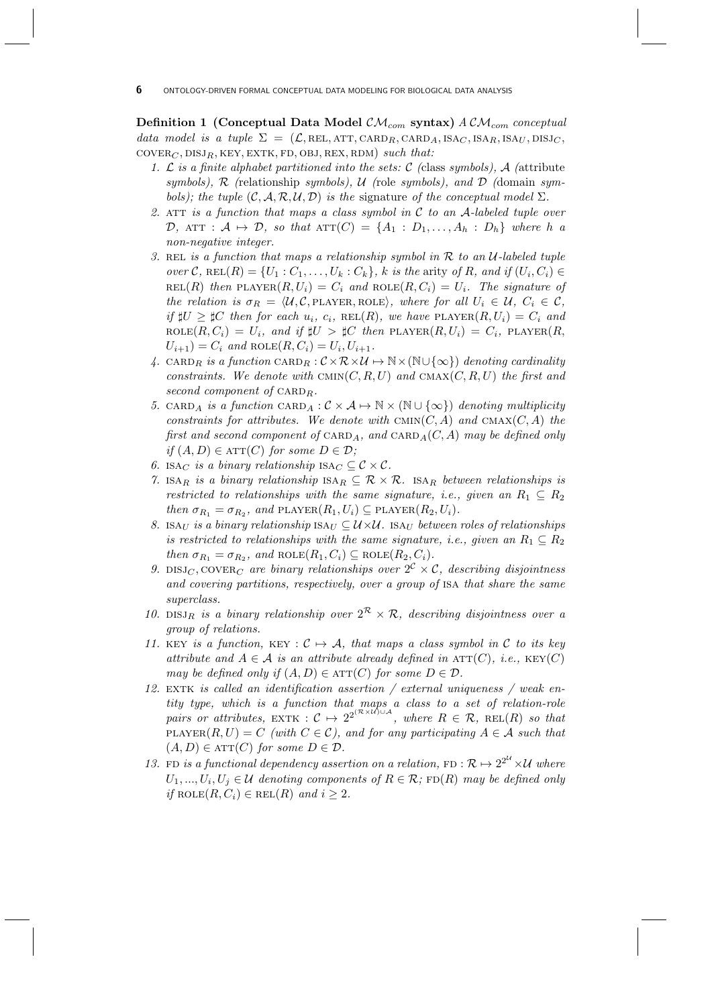Definition 1 (Conceptual Data Model  $\mathcal{CM}_{com}$  syntax)  $ACM_{com}$  conceptual data model is a tuple  $\Sigma = (\mathcal{L}, \text{REL}, \text{ATT}, \text{CARD}_R, \text{CARD}_A, \text{ISA}_R, \text{ISA}_L, \text{DISJ}_C,$  $\text{COVER}_C, \text{DISJ}_R, \text{KEY}, \text{EXTK}, \text{FD}, \text{OBJ}, \text{REX}, \text{RDM})$  such that:

- 1.  $\mathcal L$  is a finite alphabet partitioned into the sets:  $\mathcal C$  (class symbols),  $\mathcal A$  (attribute symbols),  $\mathcal R$  (relationship symbols),  $\mathcal U$  (role symbols), and  $\mathcal D$  (domain symbols); the tuple  $(C, \mathcal{A}, \mathcal{R}, \mathcal{U}, \mathcal{D})$  is the signature of the conceptual model  $\Sigma$ .
- 2. ATT is a function that maps a class symbol in  $C$  to an A-labeled tuple over  $\mathcal{D}$ , ATT :  $\mathcal{A} \mapsto \mathcal{D}$ , so that  $ATT(C) = \{A_1 : D_1, \ldots, A_h : D_h\}$  where h a non-negative integer.
- 3. REL is a function that maps a relationship symbol in  $R$  to an  $U$ -labeled tuple over C, REL $(R) = \{U_1 : C_1, \ldots, U_k : C_k\}$ , k is the arity of R, and if  $(U_i, C_i) \in$  $REL(R)$  then PLAYER $(R, U_i) = C_i$  and  $ROLE(R, C_i) = U_i$ . The signature of the relation is  $\sigma_R = \langle \mathcal{U}, \mathcal{C}, \text{PLAYER}, \text{ROLE} \rangle$ , where for all  $U_i \in \mathcal{U}, C_i \in \mathcal{C}$ , if  $\sharp U \geq \sharp C$  then for each  $u_i$ ,  $c_i$ ,  $REL(R)$ , we have PLAYER $(R, U_i) = C_i$  and  $R_{\text{R}}(R, C_i) = U_i$ , and if  $\sharp U > \sharp C$  then  $\text{PLAYER}(R, U_i) = C_i$ ,  $\text{PLAYER}(R, C_i)$  $U_{i+1}$  =  $C_i$  and ROLE $(R, C_i) = U_i, U_{i+1}$ .
- 4. CARD<sub>R</sub> is a function  $CARD_B : \mathcal{C} \times \mathcal{R} \times \mathcal{U} \mapsto \mathbb{N} \times (\mathbb{N} \cup {\infty})$  denoting cardinality constraints. We denote with  $\text{CMIN}(C, R, U)$  and  $\text{CMAX}(C, R, U)$  the first and second component of  $CARD_R$ .
- 5. CARDA is a function  $CARD_A : C \times A \mapsto \mathbb{N} \times (\mathbb{N} \cup {\infty})$  denoting multiplicity constraints for attributes. We denote with CMIN(C, A) and CMAX(C, A) the first and second component of  $\text{CARD}_A$ , and  $\text{CARD}_A(C, A)$  may be defined only if  $(A, D) \in \text{ATT}(C)$  for some  $D \in \mathcal{D}$ ;
- 6. ISA<sub>C</sub> is a binary relationship ISA<sub>C</sub>  $\subseteq \mathcal{C} \times \mathcal{C}$ .
- 7. ISAR is a binary relationship  $ISAR \subseteq \mathcal{R} \times \mathcal{R}$ . ISAR between relationships is restricted to relationships with the same signature, i.e., given an  $R_1 \subseteq R_2$ then  $\sigma_{R_1} = \sigma_{R_2}$ , and PLAYER $(R_1, U_i) \subseteq$  PLAYER $(R_2, U_i)$ .
- 8. ISAU is a binary relationship  $ISA_U \subseteq U \times U$ . ISAU between roles of relationships is restricted to relationships with the same signature, i.e., given an  $R_1 \subseteq R_2$ then  $\sigma_{R_1} = \sigma_{R_2}$ , and ROLE $(R_1, C_i) \subseteq \text{ROLE}(R_2, C_i)$ .
- 9. DISJ<sub>C</sub>, COVER<sub>C</sub> are binary relationships over  $2^{\mathcal{C}} \times \mathcal{C}$ , describing disjointness and covering partitions, respectively, over a group of isa that share the same superclass.
- 10. DISJ<sub>R</sub> is a binary relationship over  $2^R \times R$ , describing disjointness over a group of relations.
- 11. KEY is a function, KEY :  $C \mapsto A$ , that maps a class symbol in C to its key attribute and  $A \in \mathcal{A}$  is an attribute already defined in  $ATT(C)$ , i.e.,  $KEY(C)$ may be defined only if  $(A, D) \in \text{ATT}(C)$  for some  $D \in \mathcal{D}$ .
- 12. EXTK is called an identification assertion / external uniqueness / weak entity type, which is a function that maps a class to a set of relation-role pairs or attributes, EXTK :  $C \mapsto 2^{2^{(\mathcal{R} \times \mathcal{U}) \cup \mathcal{A}}}$ , where  $R \in \mathcal{R}$ , REL(R) so that  $\text{PLAYER}(R, U) = C$  (with  $C \in \mathcal{C}$ ), and for any participating  $A \in \mathcal{A}$  such that  $(A, D) \in \text{ATT}(C)$  for some  $D \in \mathcal{D}$ .
- 13. FD is a functional dependency assertion on a relation, FD :  $\mathcal{R} \mapsto 2^{2^{\mathcal{U}}} \times \mathcal{U}$  where  $U_1, ..., U_i, U_j \in \mathcal{U}$  denoting components of  $R \in \mathcal{R}$ ; FD(R) may be defined only if ROLE $(R, C_i) \in \text{REL}(R)$  and  $i > 2$ .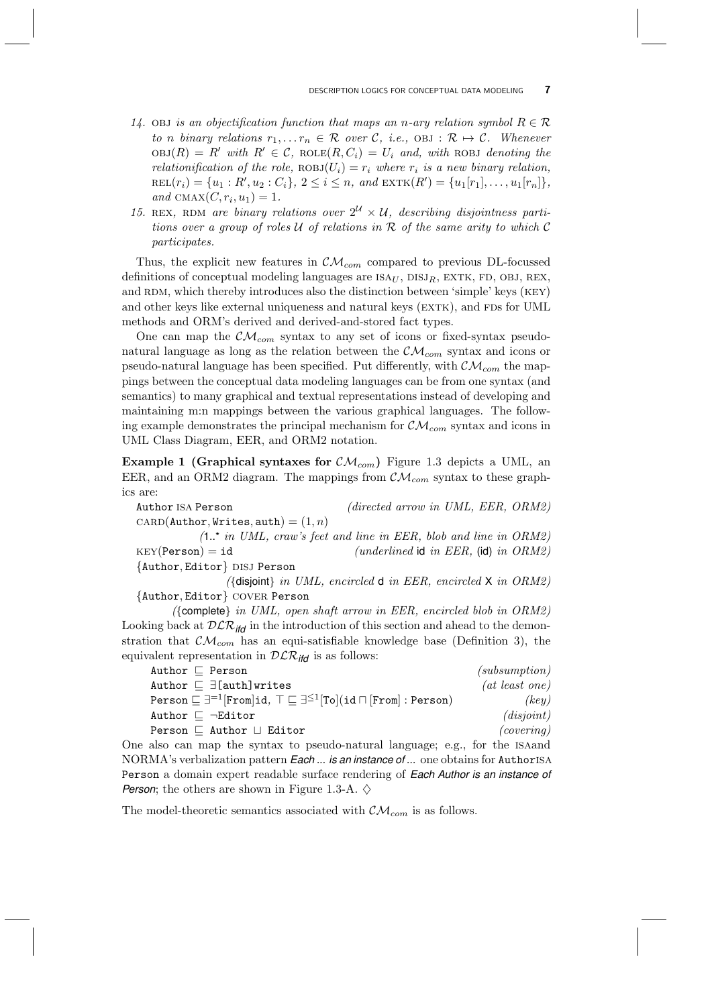- 14. OBJ is an objectification function that maps an n-ary relation symbol  $R \in \mathcal{R}$ to n binary relations  $r_1, \ldots r_n \in \mathcal{R}$  over C, i.e., OBJ :  $\mathcal{R} \mapsto \mathcal{C}$ . Whenever  $\mathrm{OBJ}(R) = R'$  with  $R' \in \mathcal{C}$ ,  $\mathrm{ROLE}(R, C_i) = U_i$  and, with ROBJ denoting the relationification of the role,  $ROBJ(U_i) = r_i$  where  $r_i$  is a new binary relation,  $\text{REL}(r_i) = \{u_1 : R', u_2 : C_i\},\ 2 \leq i \leq n,\ and\ \text{EXT}(R') = \{u_1[r_1], \ldots, u_1[r_n]\},\$ and  $\text{CMAX}(C, r_i, u_1) = 1.$
- 15. REX, RDM are binary relations over  $2^{\mathcal{U}} \times \mathcal{U}$ , describing disjointness partitions over a group of roles  $U$  of relations in  $R$  of the same arity to which  $C$ participates.

Thus, the explicit new features in  $\mathcal{CM}_{com}$  compared to previous DL-focussed definitions of conceptual modeling languages are  $ISA_U$ ,  $DISI_R$ ,  $EXTK$ ,  $FD$ ,  $OBJ$ ,  $REX$ , and RDM, which thereby introduces also the distinction between 'simple' keys  $(KEY)$ and other keys like external uniqueness and natural keys (EXTK), and FDs for UML methods and ORM's derived and derived-and-stored fact types.

One can map the  $\mathcal{CM}_{com}$  syntax to any set of icons or fixed-syntax pseudonatural language as long as the relation between the  $\mathcal{CM}_{com}$  syntax and icons or pseudo-natural language has been specified. Put differently, with  $\mathcal{CM}_{com}$  the mappings between the conceptual data modeling languages can be from one syntax (and semantics) to many graphical and textual representations instead of developing and maintaining m:n mappings between the various graphical languages. The following example demonstrates the principal mechanism for  $\mathcal{CM}_{com}$  syntax and icons in UML Class Diagram, EER, and ORM2 notation.

**Example 1 (Graphical syntaxes for**  $CM_{com}$ **)** Figure 1.3 depicts a UML, an EER, and an ORM2 diagram. The mappings from  $\mathcal{CM}_{com}$  syntax to these graphics are:

Author ISA Person (directed arrow in UML, EER, ORM2)  $CARD(Autton, Writes, \text{auth}) = (1, n)$ (1..\* in UML, craw's feet and line in EER, blob and line in ORM2)  $KEY(Person) = id$  (underlined id in EER, (id) in  $ORM2$ ) {Author, Editor} DISJ Person ({disjoint} in UML, encircled d in EER, encircled X in ORM2)

{Author, Editor} cover Person

({complete} in UML, open shaft arrow in EER, encircled blob in ORM2) Looking back at  $D\mathcal{LR}_{ifd}$  in the introduction of this section and ahead to the demonstration that  $\mathcal{CM}_{com}$  has an equi-satisfiable knowledge base (Definition 3), the equivalent representation in  $DLR_{ifd}$  is as follows:

| Author □ Person                                                                                                                                                             | (subsumption)        |
|-----------------------------------------------------------------------------------------------------------------------------------------------------------------------------|----------------------|
| Author $\Box$ $\exists$ [auth] writes                                                                                                                                       | $(at \ least \ one)$ |
| $\texttt{Person} \sqsubseteq \exists^{=1}[\texttt{From}] \texttt{id}, \top \sqsubseteq \exists^{\leq 1}[\texttt{To}](\texttt{id} \sqcap [\texttt{From}] : \texttt{Person})$ | (key)                |
| Author $\Box$ $\neg$ Editor                                                                                                                                                 | (disjoint)           |
| $\texttt{Person} \sqsubseteq \texttt{Author} \sqcup \texttt{Editor}$                                                                                                        | (covering)           |
|                                                                                                                                                                             |                      |

One also can map the syntax to pseudo-natural language; e.g., for the isaand NORMA's verbalization pattern *Each ... is an instance of ...* one obtains for Authorisa Person a domain expert readable surface rendering of *Each Author is an instance of Person*; the others are shown in Figure 1.3-A.  $\diamond$ 

The model-theoretic semantics associated with  $\mathcal{CM}_{com}$  is as follows.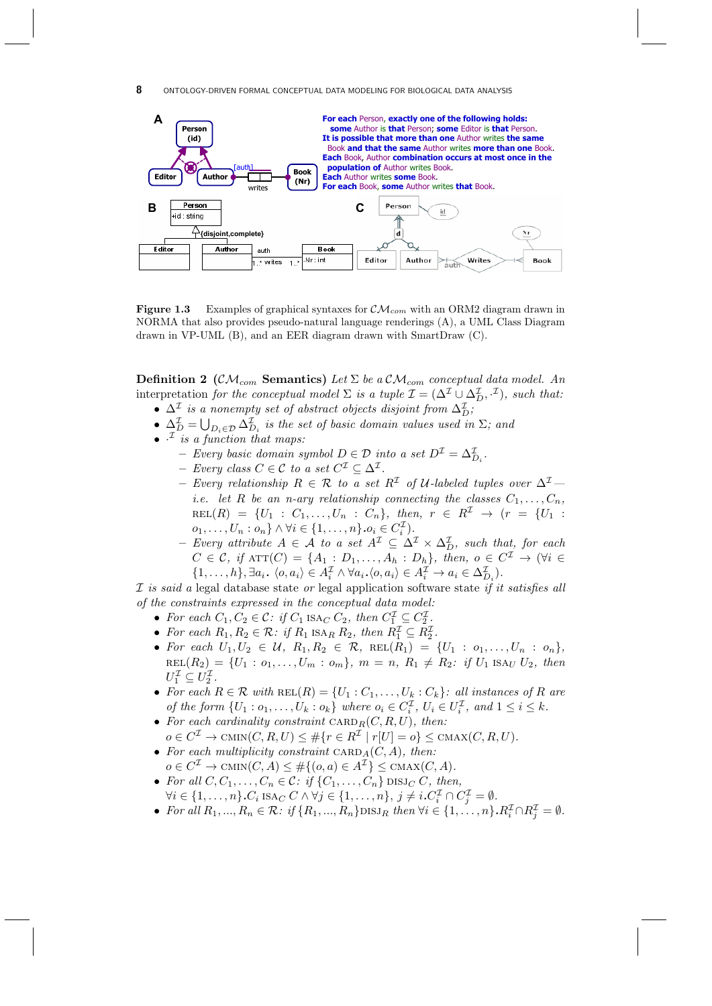

**Figure 1.3** Examples of graphical syntaxes for  $\mathcal{CM}_{com}$  with an ORM2 diagram drawn in NORMA that also provides pseudo-natural language renderings (A), a UML Class Diagram drawn in VP-UML (B), and an EER diagram drawn with SmartDraw (C).

**Definition 2** ( $\mathcal{CM}_{com}$  **Semantics**) Let  $\Sigma$  be a  $\mathcal{CM}_{com}$  conceptual data model. An interpretation for the conceptual model  $\Sigma$  is a tuple  $\mathcal{I} = (\Delta^{\mathcal{I}} \cup \Delta^{\mathcal{I}}_D, \cdot^{\mathcal{I}})$ , such that: •  $\Delta^{\mathcal{I}}$  is a nonempty set of abstract objects disjoint from  $\Delta_D^{\mathcal{I}}$ ,

- $\Delta_D^{\mathcal{I}} = \bigcup_{D_i \in \mathcal{D}} \Delta_{D_i}^{\mathcal{I}}$  is the set of basic domain values used in  $\Sigma$ ; and
- $\bullet$   $\cdot^{\mathcal{I}}$  is a function that maps:
	- − Every basic domain symbol  $D \in \mathcal{D}$  into a set  $D^{\mathcal{I}} = \Delta_{D_i}^{\mathcal{I}}$ .
		- Every class  $C \in \mathcal{C}$  to a set  $C^{\mathcal{I}} \subseteq \Delta^{\mathcal{I}}$ .
		- Every relationship  $R \in \mathcal{R}$  to a set  $R^{\mathcal{I}}$  of U-labeled tuples over  $\Delta^{\mathcal{I}}$ *i.e.* let R be an n-ary relationship connecting the classes  $C_1, \ldots, C_n$ ,  $REL(R) = \{U_1 : C_1, \ldots, U_n : C_n\}, \text{ then, } r \in R^{\mathcal{I}} \rightarrow (r = \{U_1 : C_1, \ldots, U_n\})$  $o_1, ..., U_n : o_n$  } ∧  $\forall i \in \{1, ..., n\}$ . $o_i \in C_i^{\mathcal{I}}$ .
		- $-$  Every attribute  $A \in \mathcal{A}$  to a set  $A^{\mathcal{I}} \subseteq \Delta^{\mathcal{I}} \times \Delta^{\mathcal{I}}_D$ , such that, for each  $C \in \mathcal{C}$ , if  $\text{ATT}(C) = \{A_1 : D_1, \ldots, A_h : D_h\}$ , then,  $o \in C^{\mathcal{I}} \to (\forall i \in$  $\{1, \ldots, h\}, \exists a_i. \langle o, a_i \rangle \in A_i^{\mathcal{I}} \wedge \forall a_i. \langle o, a_i \rangle \in A_i^{\mathcal{I}} \rightarrow a_i \in \Delta_{D_i}^{\mathcal{I}}\}.$

I is said a legal database state or legal application software state if it satisfies all of the constraints expressed in the conceptual data model:

- For each  $C_1, C_2 \in \mathcal{C}$ : if  $C_1$  ISA<sub>C</sub>  $C_2$ , then  $C_1^{\mathcal{I}} \subseteq C_2^{\mathcal{I}}$ .
- For each  $R_1, R_2 \in \mathcal{R}$ : if  $R_1$  ISA<sub>R</sub>  $R_2$ , then  $R_1^{\mathcal{I}} \subseteq R_2^{\mathcal{I}}$ .
- For each  $U_1, U_2 \in \mathcal{U}, R_1, R_2 \in \mathcal{R}, \text{REL}(R_1) = \{U_1 : o_1, \ldots, U_n : o_n\},\$  $REL(R_2) = \{U_1 : o_1, \ldots, U_m : o_m\}, m = n, R_1 \neq R_2: \text{ if } U_1 \text{ ISA}_U U_2, \text{ then }$  $U_1^{\mathcal{I}} \subseteq U_2^{\mathcal{I}}.$
- For each  $R \in \mathcal{R}$  with  $REL(R) = \{U_1 : C_1, \ldots, U_k : C_k\}$ : all instances of R are of the form  $\{U_1: o_1, \ldots, U_k: o_k\}$  where  $o_i \in C_i^{\mathcal{I}}, U_i \in U_i^{\mathcal{I}},$  and  $1 \leq i \leq k$ .
- For each cardinality constraint  $\text{CARD}_R(C, R, U)$ , then:  $o \in C^{\mathcal{I}} \to \text{CMIN}(C, R, U) \leq \#\{r \in R^{\mathcal{I}} \mid r|U| = o\} \leq \text{CMAX}(C, R, U).$
- For each multiplicity constraint  $CARD_A(C, A)$ , then:  $o \in C^{\mathcal{I}} \to \text{CMIN}(C, A) \leq \#\{(o, a) \in A^{\mathcal{I}}\} \leq \text{CMAX}(C, A).$
- For all  $C, C_1, \ldots, C_n \in \mathcal{C}:$  if  $\{C_1, \ldots, C_n\}$  DISJ $_C$  C, then,  $\forall i \in \{1, \ldots, n\} \cdot C_i$  ISA $_C C \wedge \forall j \in \{1, \ldots, n\}, \ j \neq i \cdot C_i^{\mathcal{I}} \cap C_j^{\mathcal{I}} = \emptyset.$
- For all  $R_1, ..., R_n \in \mathcal{R}$ : if  $\{R_1, ..., R_n\}$ DISJ<sub>R</sub> then  $\forall i \in \{1, ..., n\}$ . $R_i^{\mathcal{I}} \cap R_j^{\mathcal{I}} = \emptyset$ .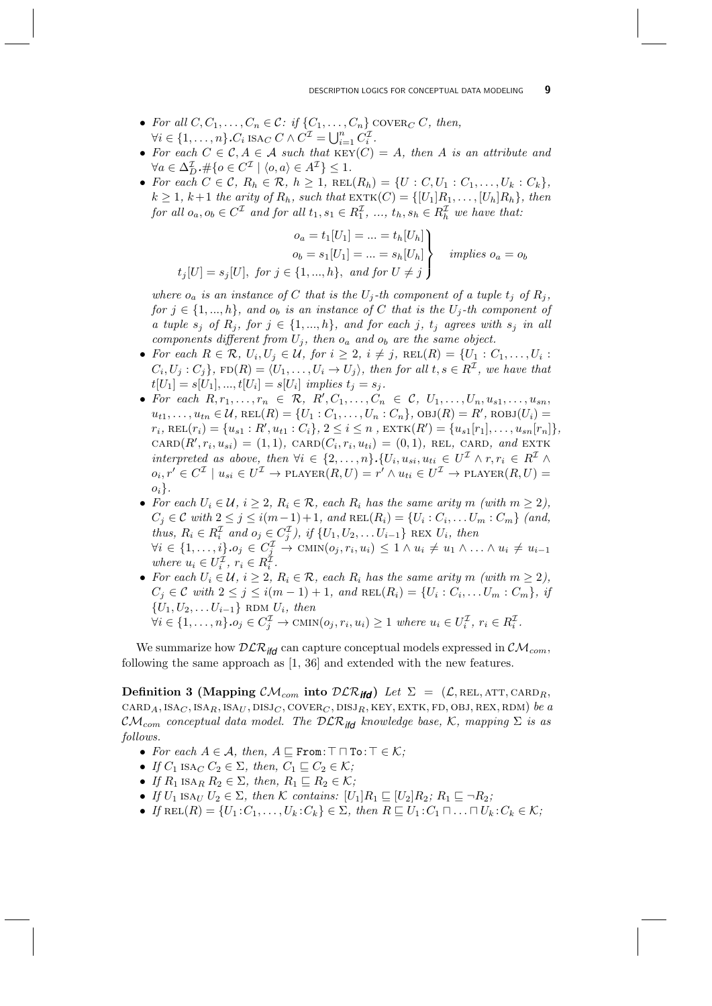- For all  $C, C_1, \ldots, C_n \in \mathcal{C}:$  if  $\{C_1, \ldots, C_n\}$  cover  $C$ , then,  $\forall i \in \{1, \ldots, n\} \cdot C_i$  ISA $_C C \wedge C^{\mathcal{I}} = \bigcup_{i=1}^n C_i^{\mathcal{I}}$ .
- For each  $C \in \mathcal{C}, A \in \mathcal{A}$  such that  $\text{KEY}(C) = A$ , then A is an attribute and  $\forall a \in \Delta_D^{\mathcal{I}}. \#\{o \in C^{\mathcal{I}} \mid \langle o, a \rangle \in A^{\mathcal{I}}\} \leq 1.$
- For each  $C \in \mathcal{C}$ ,  $R_h \in \mathcal{R}$ ,  $h \geq 1$ ,  $REL(R_h) = \{U : C, U_1 : C_1, \ldots, U_k : C_k\},\$  $k \geq 1$ ,  $k+1$  the arity of  $R_h$ , such that  $\text{EXT}(C) = \{[U_1]R_1, \ldots, [U_h]R_h\}$ , then for all  $o_a, o_b \in C^{\mathcal{I}}$  and for all  $t_1, s_1 \in R_1^{\mathcal{I}}, ..., t_h, s_h \in R_h^{\mathcal{I}}$  we have that:

$$
o_a = t_1[U_1] = \dots = t_h[U_h]
$$
  
\n
$$
o_b = s_1[U_1] = \dots = s_h[U_h]
$$
  
\n
$$
t_j[U] = s_j[U], \text{ for } j \in \{1, ..., h\}, \text{ and for } U \neq j
$$
  
\n
$$
t_j[U] = s_j[U], \text{ for } j \in \{1, ..., h\}, \text{ and for } U \neq j
$$

where  $o_a$  is an instance of C that is the  $U_i$ -th component of a tuple  $t_i$  of  $R_i$ , for  $j \in \{1, ..., h\}$ , and  $o_b$  is an instance of C that is the  $U_i$ -th component of a tuple  $s_i$  of  $R_i$ , for  $j \in \{1, ..., h\}$ , and for each j,  $t_i$  agrees with  $s_i$  in all components different from  $U_j$ , then  $o_a$  and  $o_b$  are the same object.

- For each  $R \in \mathcal{R}$ ,  $U_i, U_j \in \mathcal{U}$ , for  $i \geq 2$ ,  $i \neq j$ , REL $(R) = \{U_1 : C_1, \ldots, U_i :$  $C_i, U_j : C_j$ ,  $FD(R) = \langle U_1, \ldots, U_i \to U_j \rangle$ , then for all  $t, s \in R^{\mathcal{I}}$ , we have that  $t[U_1] = s[U_1], ..., t[U_i] = s[U_i]$  implies  $t_j = s_j$ .
- For each  $R, r_1, \ldots, r_n \in \mathcal{R}, R', C_1, \ldots, C_n \in \mathcal{C}, U_1, \ldots, U_n, u_{s1}, \ldots, u_{sn}$  $u_{t1}, \ldots, u_{tn} \in \mathcal{U}$ , REL $(R) = \{U_1 : C_1, \ldots, U_n : C_n\}$ , OBJ $(R) = R'$ , ROBJ $(U_i) =$  $r_i$ , REL $(r_i) = \{u_{s1} : R', u_{t1} : C_i\}$ ,  $2 \le i \le n$ , EXTK $(R') = \{u_{s1}[r_1], \ldots, u_{sn}[r_n]\}$ ,  $\text{CARD}(R', r_i, u_{si}) = (1, 1), \text{ CARD}(C_i, r_i, u_{ti}) = (0, 1), \text{ REL}, \text{ CARD}, \text{ and EXTK}$ interpreted as above, then  $\forall i \in \{2,\ldots,n\}.\{U_i, u_{si}, u_{ti} \in U^{\mathcal{I}} \wedge r, r_i \in R^{\mathcal{I}} \wedge$  $o_i, r' \in C^{\mathcal{I}} \mid u_{si} \in U^{\mathcal{I}} \to \text{Planver}(R, U) = r' \land u_{ti} \in U^{\mathcal{I}} \to \text{Planver}(R, U) =$  $o_i$ .
- For each  $U_i \in \mathcal{U}, i \geq 2, R_i \in \mathcal{R},$  each  $R_i$  has the same arity m (with  $m \geq 2$ ),  $C_j \in \mathcal{C}$  with  $2 \le j \le i(m-1)+1$ , and  $\text{REL}(R_i) = \{U_i : C_i, \dots U_m : C_m\}$  (and, thus,  $R_i \in R_i^{\mathcal{I}}$  and  $o_j \in C_j^{\mathcal{I}}$ , if  $\{U_1, U_2, \ldots, U_{i-1}\}$  REX  $U_i$ , then  $\forall i \in \{1, \ldots, i\} \cdot o_j \in C_j^{\mathcal{I}} \to \text{CMIN}(o_j, r_i, u_i) \leq 1 \wedge u_i \neq u_1 \wedge \ldots \wedge u_i \neq u_{i-1}$ where  $u_i \in U_i^{\mathcal{I}}, r_i \in R_i^{\mathcal{I}}$ .
- For each  $U_i \in \mathcal{U}, i \geq 2, R_i \in \mathcal{R}$ , each  $R_i$  has the same arity m (with  $m \geq 2$ ),  $C_j \in \mathcal{C}$  with  $2 \le j \le i(m-1)+1$ , and  $\text{REL}(R_i) = \{U_i : C_i, \dots U_m : C_m\}$ , if  ${U_1, U_2, \ldots U_{i-1}}$  RDM  $U_i$ , then  $\forall i \in \{1, \ldots, n\} \cdot o_j \in C_j^{\mathcal{I}} \to \text{CMIN}(o_j, r_i, u_i) \geq 1$  where  $u_i \in U_i^{\mathcal{I}}, r_i \in R_i^{\mathcal{I}}$ .

We summarize how  $DLR_{ifd}$  can capture conceptual models expressed in  $CM_{com}$ , following the same approach as [1, 36] and extended with the new features.

**Definition 3 (Mapping**  $\mathcal{CM}_{com}$  **into**  $\mathcal{DLR}_{\mathit{iff}}$ **)** Let  $\Sigma = (\mathcal{L}, \text{REL}, \text{ATT}, \text{CARD}_{R}$  $\text{CARD}_A, \text{ISA}_C, \text{ISA}_R, \text{ISA}_U, \text{DISJ}_C, \text{Cover}_C, \text{DISJ}_R, \text{KEY}, \text{EXTK}, \text{FD}, \text{OBJ}, \text{REX}, \text{RDM})$  be a  $\mathcal{CM}_{com}$  conceptual data model. The  $\mathcal{DLR}_{\text{ifd}}$  knowledge base, K, mapping  $\Sigma$  is as follows.

- For each  $A \in \mathcal{A}$ , then,  $A \sqsubseteq \texttt{From} : \top \sqcap \texttt{To}: \top \in \mathcal{K}$ ;
- If  $C_1$  ISA $_C$   $C_2 \in \Sigma$ , then,  $C_1 \sqsubseteq C_2 \in \mathcal{K}$ ;
- If  $R_1$  ISA $_R$   $R_2 \in \Sigma$ , then,  $R_1 \sqsubseteq R_2 \in \mathcal{K}$ ;
- If  $U_1$  ISA $_U$   $U_2 \in \Sigma$ , then  $K$  contains:  $[U_1]R_1 \sqsubseteq [U_2]R_2; R_1 \sqsubseteq \neg R_2;$
- If  $\text{REL}(R) = \{U_1: C_1, \ldots, U_k: C_k\} \in \Sigma$ , then  $R \sqsubseteq U_1: C_1 \sqcap \ldots \sqcap U_k: C_k \in \mathcal{K}$ ;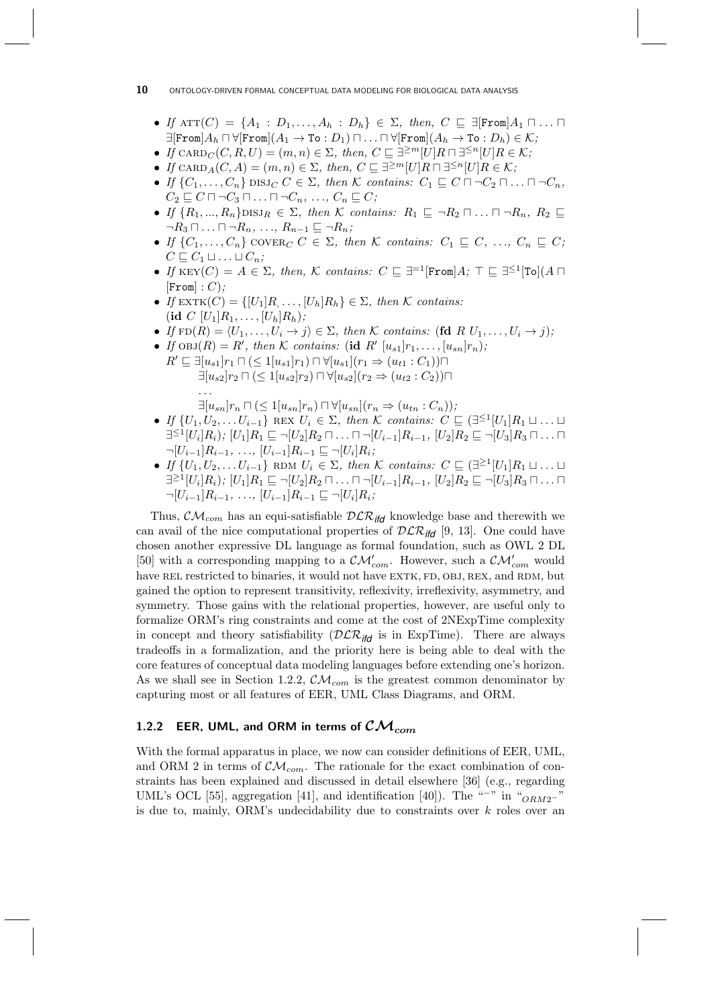- 10 ONTOLOGY-DRIVEN FORMAL CONCEPTUAL DATA MODELING FOR BIOLOGICAL DATA ANALYSIS
	- If  $\text{ATT}(C) = \{A_1 : D_1, \ldots, A_h : D_h\} \in \Sigma$ , then,  $C \subseteq \exists \text{[From} | A_1 \sqcap \ldots \sqcap$  $\exists$ [From] $A_h \sqcap \forall$ [From] $(A_1 \rightarrow \texttt{To} : D_1) \sqcap ... \sqcap \forall$ [From] $(A_h \rightarrow \texttt{To} : D_h) \in \mathcal{K}$ ;
	- If CARD $_C(C, R, U) = (m, n) \in \Sigma$ , then,  $C \sqsubseteq \exists^{\geq m}[U]R \sqcap \exists^{\leq n}[U]R \in \mathcal{K}$ ;
	- If CARD<sub>A</sub> $(C, A) = (m, n) \in \Sigma$ , then,  $C \sqsubseteq \exists^{\geq m}[U]R \sqcap \exists^{\leq n}[U]R \in \mathcal{K}$ ;
	- If  $\{C_1,\ldots,C_n\}$  DISJ $_C C \in \Sigma$ , then K contains:  $C_1 \sqsubseteq C \sqcap \neg C_2 \sqcap \ldots \sqcap \neg C_n$ ,  $C_2 \sqsubseteq C \sqcap \neg C_3 \sqcap \ldots \sqcap \neg C_n, \ldots, C_n \sqsubseteq C;$
	- If  $\{R_1, ..., R_n\}$ DISJ $R \in \Sigma$ , then K contains:  $R_1 \sqsubseteq \neg R_2 \sqcap ... \sqcap \neg R_n$ ,  $R_2 \sqsubseteq$  $\neg R_3 \sqcap \ldots \sqcap \neg R_n, \ldots, R_{n-1} \sqsubseteq \neg R_n;$
	- If  $\{C_1, \ldots, C_n\}$  COVER $_C C \in \Sigma$ , then K contains:  $C_1 \sqsubseteq C, \ldots, C_n \sqsubseteq C$ ;  $C \sqsubseteq C_1 \sqcup \ldots \sqcup C_n;$
	- If  $\text{KEY}(C) = A \in \Sigma$ , then, K contains:  $C \sqsubseteq \exists^{=1}[\text{From}]A; \top \sqsubseteq \exists^{\leq 1}[\text{To}](A \sqcap$  $[From]: C);$
	- If  $\text{EXTK}(C) = \{ [U_1]R, \ldots, [U_h]R_h \} \in \Sigma$ , then K contains: (id  $C$  [U<sub>1</sub>] $R_1, \ldots, [U_h]R_h$ );
	- If  $FD(R) = \langle U_1, \ldots, U_i \rightarrow j \rangle \in \Sigma$ , then K contains: (fd R  $U_1, \ldots, U_i \rightarrow j$ );
	- If  $OBJ(R) = R'$ , then K contains:  $(id \ R' [u_{s1}]r_1, \ldots, [u_{sn}]r_n)$ ;  $R' \sqsubseteq \exists [u_{s1}]r_1 \sqcap (\leq 1[u_{s1}]r_1) \sqcap \forall [u_{s1}](r_1 \Rightarrow (u_{t1} : C_1)) \sqcap$  $\exists [u_{s2}]_{r_2} \sqcap (\leq 1[u_{s2}]_{r_2}) \sqcap \forall [u_{s2}](r_2 \Rightarrow (u_{t2} : C_2)) \sqcap$ . . .

 $\exists [u_{sn}]r_n \sqcap (\leq 1[u_{sn}]r_n) \sqcap \forall [u_{sn}](r_n \Rightarrow (u_{tn}:C_n));$ 

- If  $\{U_1, U_2, \ldots U_{i-1}\}$  REX  $U_i \in \Sigma$ , then K contains:  $C \sqsubseteq (\exists^{\leq 1}[U_1]R_1 \sqcup \ldots \sqcup$  $\exists^{\leq 1}[U_i]R_i);$   $[U_1]R_1 \sqsubseteq \neg [U_2]R_2 \sqcap \ldots \sqcap \neg [U_{i-1}]R_{i-1},$   $[U_2]R_2 \sqsubseteq \neg [U_3]R_3 \sqcap \ldots \sqcap$  $\neg[U_{i-1}]R_{i-1}, \dots, [U_{i-1}]R_{i-1} \sqsubseteq \neg[U_i]R_i;$
- If  $\{U_1, U_2, \ldots U_{i-1}\}$  RDM  $U_i \in \Sigma$ , then K contains:  $C \sqsubseteq (\exists^{\geq 1}[U_1]R_1 \sqcup \ldots \sqcup$  $\exists^{\geq 1}[U_i]R_i)$ ;  $[U_1]R_1 \sqsubseteq \neg [U_2]R_2 \sqcap \ldots \sqcap \neg [U_{i-1}]R_{i-1}$ ,  $[U_2]R_2 \sqsubseteq \neg [U_3]R_3 \sqcap \ldots \sqcap$  $\neg[U_{i-1}]R_{i-1},\ldots,[U_{i-1}]R_{i-1} \sqsubseteq \neg[U_i]R_i;$

Thus,  $\mathcal{CM}_{com}$  has an equi-satisfiable  $\mathcal{DLR}_{ifd}$  knowledge base and therewith we can avail of the nice computational properties of  $D\mathcal{LR}_{\mathit{iff}}$  [9, 13]. One could have chosen another expressive DL language as formal foundation, such as OWL 2 DL [50] with a corresponding mapping to a  $\mathcal{CM}_{com}^{\prime}$ . However, such a  $\mathcal{CM}_{com}^{\prime}$  would have REL restricted to binaries, it would not have EXTK, FD, OBJ, REX, and RDM, but gained the option to represent transitivity, reflexivity, irreflexivity, asymmetry, and symmetry. Those gains with the relational properties, however, are useful only to formalize ORM's ring constraints and come at the cost of 2NExpTime complexity in concept and theory satisfiability  $(DLR<sub>ifd</sub>)$  is in ExpTime). There are always tradeoffs in a formalization, and the priority here is being able to deal with the core features of conceptual data modeling languages before extending one's horizon. As we shall see in Section 1.2.2,  $\mathcal{CM}_{com}$  is the greatest common denominator by capturing most or all features of EER, UML Class Diagrams, and ORM.

# 1.2.2 EER, UML, and ORM in terms of  $\mathcal{CM}_{com}$

With the formal apparatus in place, we now can consider definitions of EER, UML, and ORM 2 in terms of  $\mathcal{CM}_{com}$ . The rationale for the exact combination of constraints has been explained and discussed in detail elsewhere [36] (e.g., regarding UML's OCL [55], aggregation [41], and identification [40]). The "<sup>-</sup>" in " $_{ORM2}$ <sup>-"</sup> is due to, mainly, ORM's undecidability due to constraints over  $k$  roles over an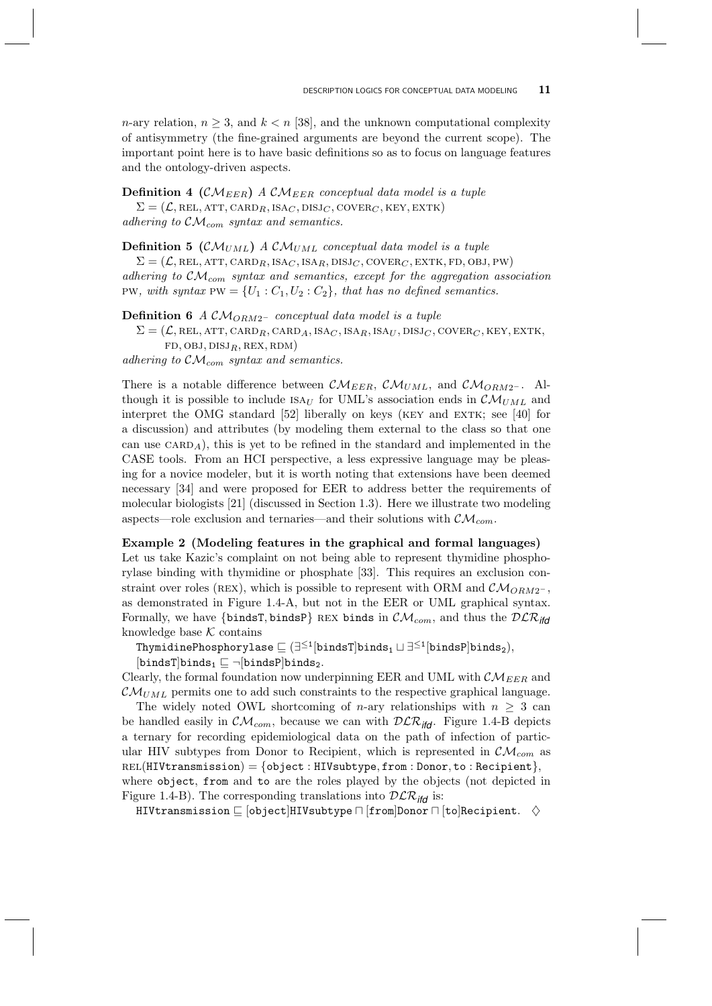n-ary relation,  $n \geq 3$ , and  $k < n$  [38], and the unknown computational complexity of antisymmetry (the fine-grained arguments are beyond the current scope). The important point here is to have basic definitions so as to focus on language features and the ontology-driven aspects.

**Definition 4** ( $\mathcal{CM}_{EER}$ ) A  $\mathcal{CM}_{EER}$  conceptual data model is a tuple  $\Sigma = (\mathcal{L}, \text{REL}, \text{ATT}, \text{CARD}_B, \text{ISA}_C, \text{DISJ}_C, \text{COVER}_C, \text{KEY}, \text{EXTK})$ adhering to  $\mathcal{CM}_{com}$  syntax and semantics.

## **Definition 5** ( $\mathcal{CM}_{UML}$ ) A  $\mathcal{CM}_{UML}$  conceptual data model is a tuple

 $\Sigma = (\mathcal{L}, \text{REL}, \text{ATT}, \text{CARD}_R, \text{ISA}_C, \text{ISA}_R, \text{DISJ}_C, \text{COVER}_C, \text{EXTK}, \text{FD}, \text{OBJ}, \text{PW})$ adhering to  $\mathcal{CM}_{com}$  syntax and semantics, except for the aggregation association PW, with syntax PW =  $\{U_1: C_1, U_2: C_2\}$ , that has no defined semantics.

## **Definition 6** A  $CM_{ORM2}$ – conceptual data model is a tuple

 $\Sigma = (\mathcal{L}, \text{REL}, \text{ATT}, \text{CARD}_R, \text{CARD}_A, \text{ISA}_C, \text{ISA}_R, \text{ISA}_U, \text{DISJ}_C, \text{COVER}_C, \text{KEY}, \text{EXTK},$  $FD, OBJ, DISJ_R, REX, RDM)$ 

adhering to  $\mathcal{CM}_{com}$  syntax and semantics.

There is a notable difference between  $\mathcal{CM}_{EER}$ ,  $\mathcal{CM}_{UML}$ , and  $\mathcal{CM}_{ORM2}$ -. Although it is possible to include  $\text{ISA}_U$  for UML's association ends in  $\mathcal{CM}_{UML}$  and interpret the OMG standard [52] liberally on keys (key and extk; see [40] for a discussion) and attributes (by modeling them external to the class so that one can use  $CARD_A$ ), this is yet to be refined in the standard and implemented in the CASE tools. From an HCI perspective, a less expressive language may be pleasing for a novice modeler, but it is worth noting that extensions have been deemed necessary [34] and were proposed for EER to address better the requirements of molecular biologists [21] (discussed in Section 1.3). Here we illustrate two modeling aspects—role exclusion and ternaries—and their solutions with  $\mathcal{CM}_{com}$ .

## Example 2 (Modeling features in the graphical and formal languages)

Let us take Kazic's complaint on not being able to represent thymidine phosphorylase binding with thymidine or phosphate [33]. This requires an exclusion constraint over roles (REX), which is possible to represent with ORM and  $\mathcal{CM}_{ORM2}$ , as demonstrated in Figure 1.4-A, but not in the EER or UML graphical syntax. Formally, we have {bindsT, bindsP} REX binds in  $\mathcal{CM}_{com}$ , and thus the  $D\mathcal{LR}_{\mathsf{ifd}}$ knowledge base  $K$  contains

 ${\tt ThymidinePhosphorylase} \sqsubseteq (\exists^{\leq 1} [{\tt bindsT}] {\tt binds}_1 \sqcup \exists^{\leq 1} [{\tt bindsP}] {\tt binds}_2),$ 

# $[bindsT]binds_1 \sqsubset \neg[bindsP]binds_2.$

Clearly, the formal foundation now underpinning EER and UML with  $\mathcal{CM}_{EER}$  and  $\mathcal{CM}_{UML}$  permits one to add such constraints to the respective graphical language.

The widely noted OWL shortcoming of n-ary relationships with  $n > 3$  can be handled easily in  $\mathcal{CM}_{com}$ , because we can with  $\mathcal{DLR}_{\mathit{iff}}$ . Figure 1.4-B depicts a ternary for recording epidemiological data on the path of infection of particular HIV subtypes from Donor to Recipient, which is represented in  $\mathcal{CM}_{com}$  as  $REL(HIV transmission) = \{ \text{object} : HIV \text{subtype}, \text{from} : Donor, \text{to} : Recipient \},\$ where object, from and to are the roles played by the objects (not depicted in Figure 1.4-B). The corresponding translations into  $D\mathcal{LR}_{\mathsf{ifd}}$  is:

HIVtransmission  $\sqsubseteq$  [object]HIVsubtype  $\sqcap$  [from]Donor  $\sqcap$  [to]Recipient.  $\diamondsuit$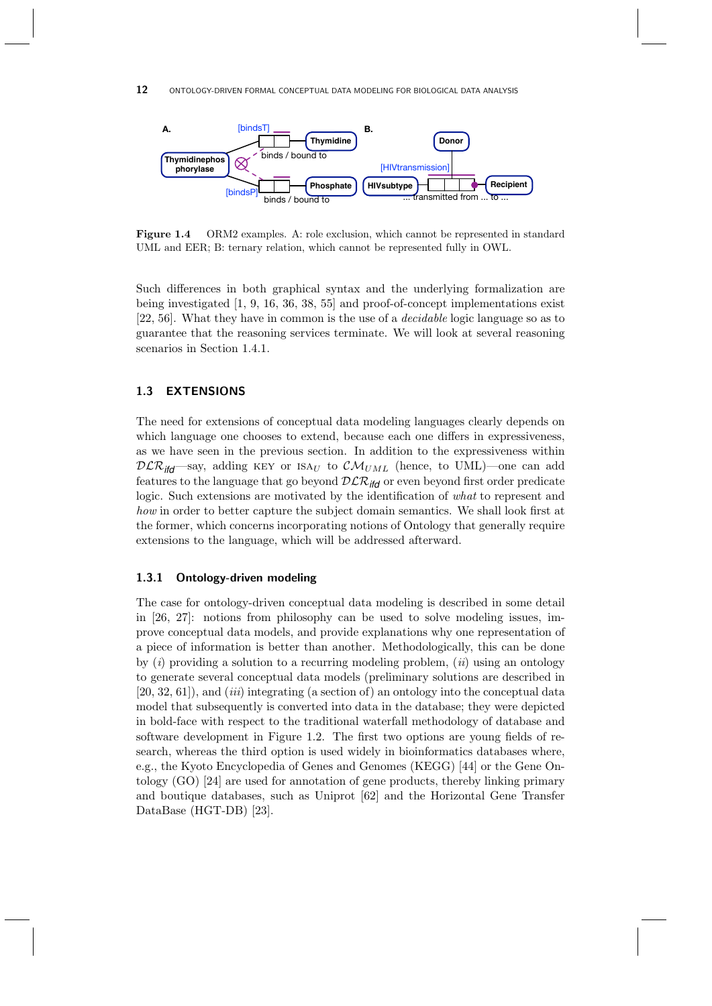

Figure 1.4 ORM2 examples. A: role exclusion, which cannot be represented in standard UML and EER; B: ternary relation, which cannot be represented fully in OWL.

Such differences in both graphical syntax and the underlying formalization are being investigated [1, 9, 16, 36, 38, 55] and proof-of-concept implementations exist [22, 56]. What they have in common is the use of a decidable logic language so as to guarantee that the reasoning services terminate. We will look at several reasoning scenarios in Section 1.4.1.

# 1.3 EXTENSIONS

The need for extensions of conceptual data modeling languages clearly depends on which language one chooses to extend, because each one differs in expressiveness, as we have seen in the previous section. In addition to the expressiveness within  $DLR_{ifd}$ —say, adding KEY or ISA<sub>U</sub> to  $CM_{UML}$  (hence, to UML)—one can add features to the language that go beyond DLR*ifd* or even beyond first order predicate logic. Such extensions are motivated by the identification of what to represent and how in order to better capture the subject domain semantics. We shall look first at the former, which concerns incorporating notions of Ontology that generally require extensions to the language, which will be addressed afterward.

## 1.3.1 Ontology-driven modeling

The case for ontology-driven conceptual data modeling is described in some detail in [26, 27]: notions from philosophy can be used to solve modeling issues, improve conceptual data models, and provide explanations why one representation of a piece of information is better than another. Methodologically, this can be done by  $(i)$  providing a solution to a recurring modeling problem,  $(ii)$  using an ontology to generate several conceptual data models (preliminary solutions are described in  $[20, 32, 61]$ , and  $(iii)$  integrating (a section of) an ontology into the conceptual data model that subsequently is converted into data in the database; they were depicted in bold-face with respect to the traditional waterfall methodology of database and software development in Figure 1.2. The first two options are young fields of research, whereas the third option is used widely in bioinformatics databases where, e.g., the Kyoto Encyclopedia of Genes and Genomes (KEGG) [44] or the Gene Ontology (GO) [24] are used for annotation of gene products, thereby linking primary and boutique databases, such as Uniprot [62] and the Horizontal Gene Transfer DataBase (HGT-DB) [23].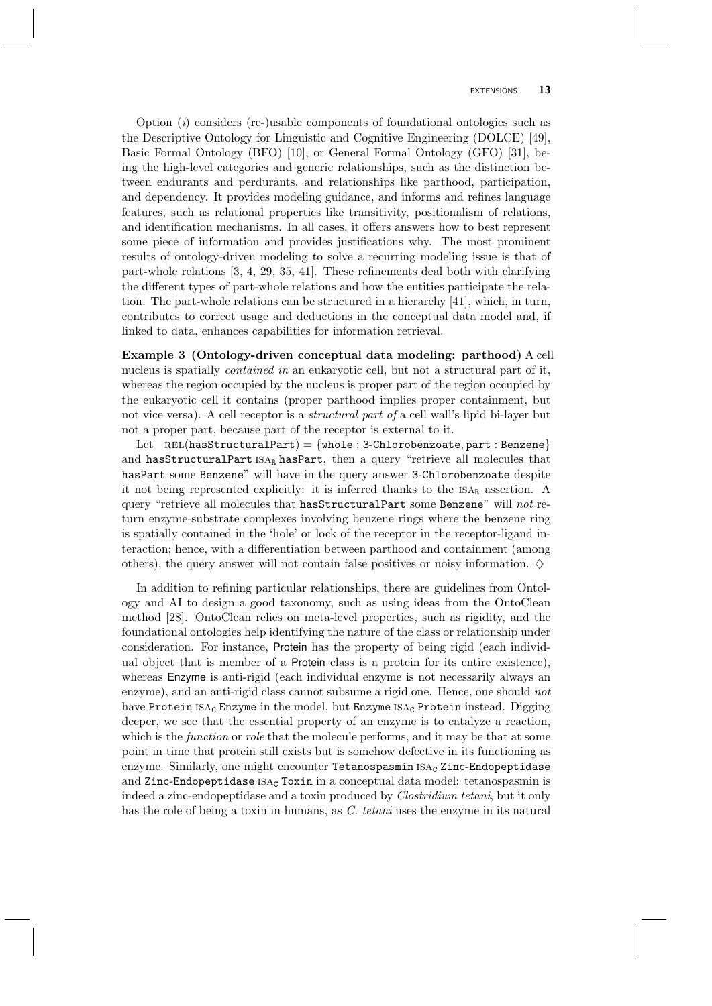Option (i) considers (re-)usable components of foundational ontologies such as the Descriptive Ontology for Linguistic and Cognitive Engineering (DOLCE) [49], Basic Formal Ontology (BFO) [10], or General Formal Ontology (GFO) [31], being the high-level categories and generic relationships, such as the distinction between endurants and perdurants, and relationships like parthood, participation, and dependency. It provides modeling guidance, and informs and refines language features, such as relational properties like transitivity, positionalism of relations, and identification mechanisms. In all cases, it offers answers how to best represent some piece of information and provides justifications why. The most prominent results of ontology-driven modeling to solve a recurring modeling issue is that of part-whole relations [3, 4, 29, 35, 41]. These refinements deal both with clarifying the different types of part-whole relations and how the entities participate the relation. The part-whole relations can be structured in a hierarchy [41], which, in turn, contributes to correct usage and deductions in the conceptual data model and, if linked to data, enhances capabilities for information retrieval.

Example 3 (Ontology-driven conceptual data modeling: parthood) A cell nucleus is spatially contained in an eukaryotic cell, but not a structural part of it, whereas the region occupied by the nucleus is proper part of the region occupied by the eukaryotic cell it contains (proper parthood implies proper containment, but not vice versa). A cell receptor is a structural part of a cell wall's lipid bi-layer but not a proper part, because part of the receptor is external to it.

Let  $REL(hasStructuralPart) = \{whole : 3-Chlorobenzoate, part : Benzene\}$ and hasStructuralPart  $ISA_R$  hasPart, then a query "retrieve all molecules that hasPart some Benzene" will have in the query answer 3-Chlorobenzoate despite it not being represented explicitly: it is inferred thanks to the  $ISAR$  assertion. A query "retrieve all molecules that hasStructuralPart some Benzene" will not return enzyme-substrate complexes involving benzene rings where the benzene ring is spatially contained in the 'hole' or lock of the receptor in the receptor-ligand interaction; hence, with a differentiation between parthood and containment (among others), the query answer will not contain false positives or noisy information.  $\diamondsuit$ 

In addition to refining particular relationships, there are guidelines from Ontology and AI to design a good taxonomy, such as using ideas from the OntoClean method [28]. OntoClean relies on meta-level properties, such as rigidity, and the foundational ontologies help identifying the nature of the class or relationship under consideration. For instance, Protein has the property of being rigid (each individual object that is member of a Protein class is a protein for its entire existence), whereas Enzyme is anti-rigid (each individual enzyme is not necessarily always an enzyme), and an anti-rigid class cannot subsume a rigid one. Hence, one should not have Protein ISA<sub>G</sub> Enzyme in the model, but Enzyme ISA<sub>G</sub> Protein instead. Digging deeper, we see that the essential property of an enzyme is to catalyze a reaction, which is the *function* or *role* that the molecule performs, and it may be that at some point in time that protein still exists but is somehow defective in its functioning as enzyme. Similarly, one might encounter Tetanospasmin  $ISA<sub>c</sub> Zinc-Endopeptidase$ and Zinc-Endopeptidase  $ISA<sub>C</sub>$  Toxin in a conceptual data model: tetanospasmin is indeed a zinc-endopeptidase and a toxin produced by *Clostridium tetani*, but it only has the role of being a toxin in humans, as C. tetani uses the enzyme in its natural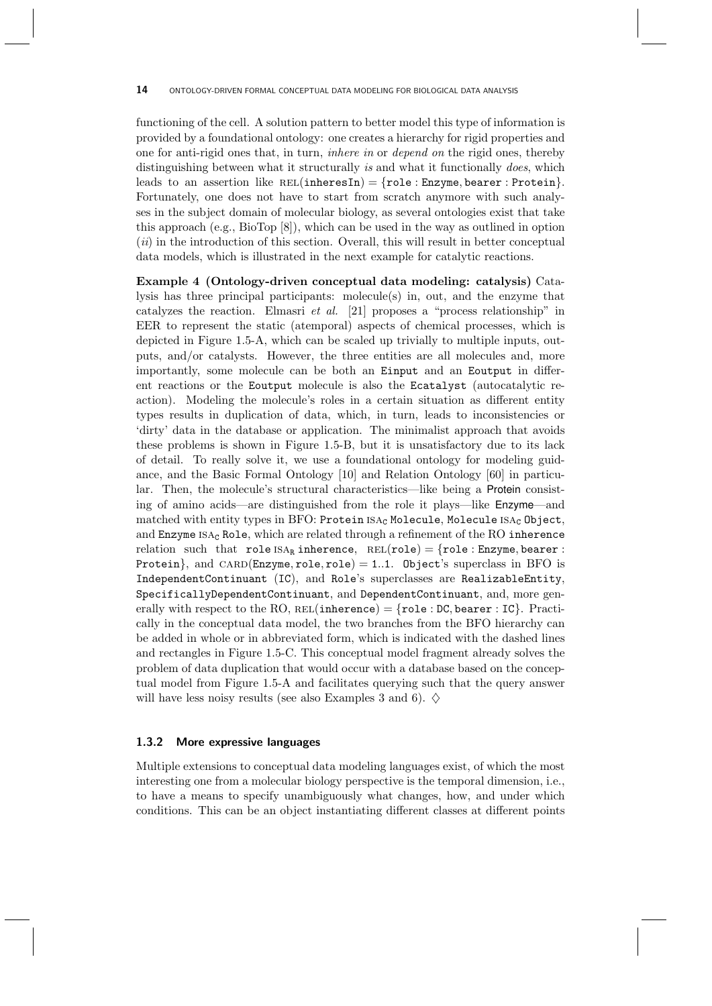functioning of the cell. A solution pattern to better model this type of information is provided by a foundational ontology: one creates a hierarchy for rigid properties and one for anti-rigid ones that, in turn, inhere in or depend on the rigid ones, thereby distinguishing between what it structurally is and what it functionally *does*, which leads to an assertion like  $REL(inheresIn) = {role: Enzyme, bearer: Protein}.$ Fortunately, one does not have to start from scratch anymore with such analyses in the subject domain of molecular biology, as several ontologies exist that take this approach (e.g., BioTop [8]), which can be used in the way as outlined in option  $(ii)$  in the introduction of this section. Overall, this will result in better conceptual data models, which is illustrated in the next example for catalytic reactions.

Example 4 (Ontology-driven conceptual data modeling: catalysis) Catalysis has three principal participants: molecule(s) in, out, and the enzyme that catalyzes the reaction. Elmasri et al. [21] proposes a "process relationship" in EER to represent the static (atemporal) aspects of chemical processes, which is depicted in Figure 1.5-A, which can be scaled up trivially to multiple inputs, outputs, and/or catalysts. However, the three entities are all molecules and, more importantly, some molecule can be both an Einput and an Eoutput in different reactions or the Eoutput molecule is also the Ecatalyst (autocatalytic reaction). Modeling the molecule's roles in a certain situation as different entity types results in duplication of data, which, in turn, leads to inconsistencies or 'dirty' data in the database or application. The minimalist approach that avoids these problems is shown in Figure 1.5-B, but it is unsatisfactory due to its lack of detail. To really solve it, we use a foundational ontology for modeling guidance, and the Basic Formal Ontology [10] and Relation Ontology [60] in particular. Then, the molecule's structural characteristics—like being a Protein consisting of amino acids—are distinguished from the role it plays—like Enzyme—and matched with entity types in BFO: Protein  $ISA<sub>C</sub>$  Molecule, Molecule  $ISA<sub>C</sub>$  Object, and Enzyme  $ISA<sub>c</sub> Role$ , which are related through a refinement of the RO inherence relation such that role  $ISA_R$  inherence,  $REL(role) = \{role : Enzyme, bearer :$ Protein}, and CARD(Enzyme, role, role) = 1..1. Object's superclass in BFO is IndependentContinuant (IC), and Role's superclasses are RealizableEntity, SpecificallyDependentContinuant, and DependentContinuant, and, more generally with respect to the RO, REL(inherence) =  $\{role : DC, bearer : IC\}$ . Practically in the conceptual data model, the two branches from the BFO hierarchy can be added in whole or in abbreviated form, which is indicated with the dashed lines and rectangles in Figure 1.5-C. This conceptual model fragment already solves the problem of data duplication that would occur with a database based on the conceptual model from Figure 1.5-A and facilitates querying such that the query answer will have less noisy results (see also Examples 3 and 6).  $\diamondsuit$ 

## 1.3.2 More expressive languages

Multiple extensions to conceptual data modeling languages exist, of which the most interesting one from a molecular biology perspective is the temporal dimension, i.e., to have a means to specify unambiguously what changes, how, and under which conditions. This can be an object instantiating different classes at different points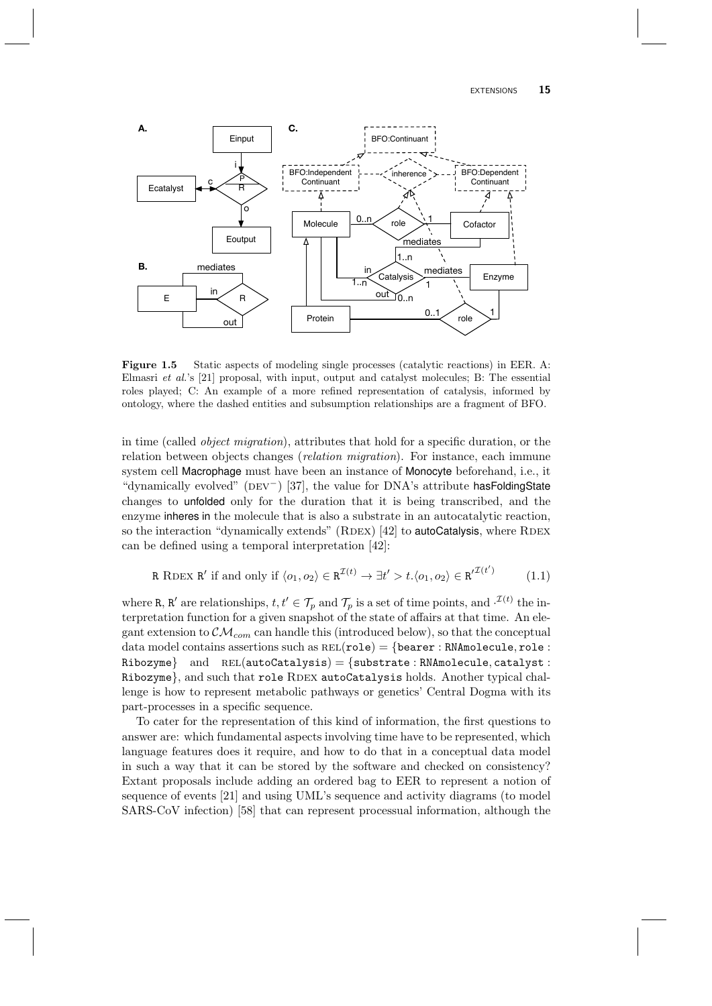

Figure 1.5 Static aspects of modeling single processes (catalytic reactions) in EER. A: Elmasri et al.'s [21] proposal, with input, output and catalyst molecules; B: The essential roles played; C: An example of a more refined representation of catalysis, informed by ontology, where the dashed entities and subsumption relationships are a fragment of BFO.

in time (called object migration), attributes that hold for a specific duration, or the relation between objects changes (relation migration). For instance, each immune system cell Macrophage must have been an instance of Monocyte beforehand, i.e., it "dynamically evolved" (DEV<sup>-</sup>) [37], the value for DNA's attribute hasFoldingState changes to unfolded only for the duration that it is being transcribed, and the enzyme inheres in the molecule that is also a substrate in an autocatalytic reaction, so the interaction "dynamically extends" (RDEX) [42] to autoCatalysis, where RDEX can be defined using a temporal interpretation [42]:

$$
\mathbf{R} \text{ RDEX } \mathbf{R}' \text{ if and only if } \langle o_1, o_2 \rangle \in \mathbf{R}^{\mathcal{I}(t)} \to \exists t' > t. \langle o_1, o_2 \rangle \in \mathbf{R}'^{\mathcal{I}(t')} \tag{1.1}
$$

where R, R' are relationships,  $t, t' \in \mathcal{T}_p$  and  $\mathcal{T}_p$  is a set of time points, and  $\mathcal{I}^{(t)}$  the interpretation function for a given snapshot of the state of affairs at that time. An elegant extension to  $\mathcal{CM}_{com}$  can handle this (introduced below), so that the conceptual data model contains assertions such as  $REL(role) = \{ \text{bearer} : \text{RMAmolecule}, \text{role} : \}$  $Ribozyme\}$  and  $REL(autocatalysis) = {substrate : RNAmolecule, catalyst :}$ Ribozyme}, and such that role RDEX autoCatalysis holds. Another typical challenge is how to represent metabolic pathways or genetics' Central Dogma with its part-processes in a specific sequence.

To cater for the representation of this kind of information, the first questions to answer are: which fundamental aspects involving time have to be represented, which language features does it require, and how to do that in a conceptual data model in such a way that it can be stored by the software and checked on consistency? Extant proposals include adding an ordered bag to EER to represent a notion of sequence of events [21] and using UML's sequence and activity diagrams (to model SARS-CoV infection) [58] that can represent processual information, although the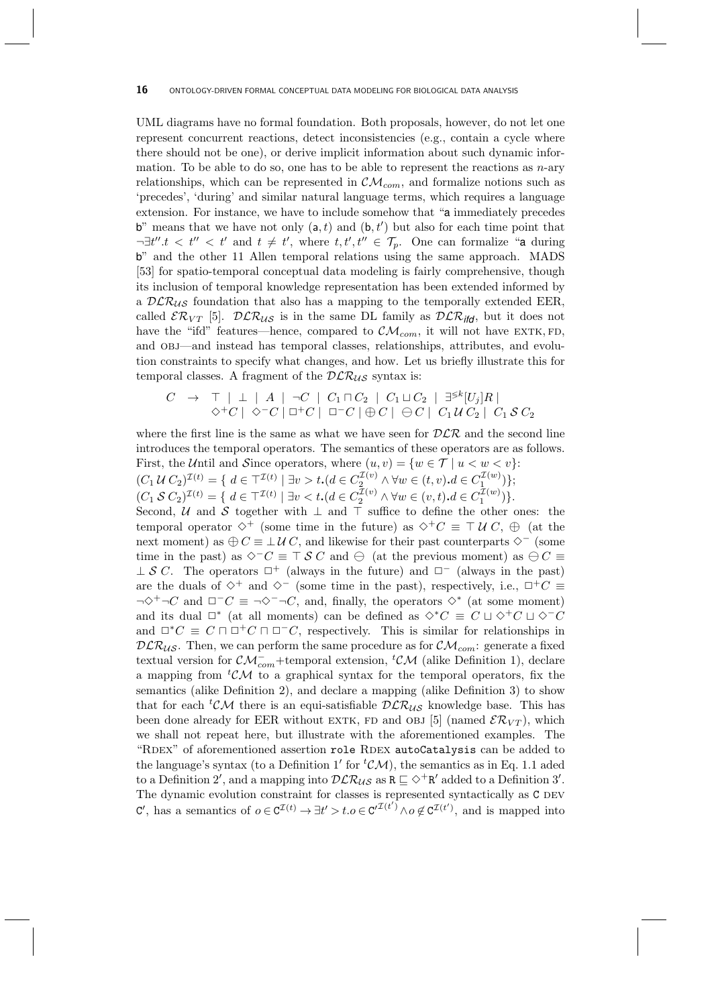UML diagrams have no formal foundation. Both proposals, however, do not let one represent concurrent reactions, detect inconsistencies (e.g., contain a cycle where there should not be one), or derive implicit information about such dynamic information. To be able to do so, one has to be able to represent the reactions as  $n$ -ary relationships, which can be represented in  $\mathcal{CM}_{com}$ , and formalize notions such as 'precedes', 'during' and similar natural language terms, which requires a language extension. For instance, we have to include somehow that "a immediately precedes  $\mathbf{b}^n$  means that we have not only  $(\mathsf{a}, t)$  and  $(\mathsf{b}, t')$  but also for each time point that  $\neg \exists t'' \cdot t \leq t'' \leq t'$  and  $t \neq t'$ , where  $t, t', t'' \in \mathcal{T}_p$ . One can formalize "a during b" and the other 11 Allen temporal relations using the same approach. MADS [53] for spatio-temporal conceptual data modeling is fairly comprehensive, though its inclusion of temporal knowledge representation has been extended informed by a  $D\mathcal{LR}_{US}$  foundation that also has a mapping to the temporally extended EER, called  $\mathcal{ER}_{VT}$  [5].  $\mathcal{DLR}_{US}$  is in the same DL family as  $\mathcal{DLR}_{\textit{itd}}$ , but it does not have the "ifd" features—hence, compared to  $\mathcal{CM}_{com}$ , it will not have EXTK, FD, and OBJ—and instead has temporal classes, relationships, attributes, and evolution constraints to specify what changes, and how. Let us briefly illustrate this for temporal classes. A fragment of the  $DLR_{US}$  syntax is:

$$
C \rightarrow \top | \perp | A | \neg C | C_1 \sqcap C_2 | C_1 \sqcup C_2 | \exists^{\leq k} [U_j] R |
$$
  
\n
$$
\Diamond^+ C | \Diamond^- C | \Box^+ C | \Box^- C | \oplus C | \ominus C | C_1 U C_2 | C_1 S C_2
$$

where the first line is the same as what we have seen for  $DLR$  and the second line introduces the temporal operators. The semantics of these operators are as follows. First, the Until and Since operators, where  $(u, v) = \{w \in \mathcal{T} \mid u < w < v\}$ :  $(C_1 \mathcal{U} C_2)^{\mathcal{I}(t)} = \{ d \in \top^{\mathcal{I}(t)} | \exists v > t.(d \in C_2^{\mathcal{I}(v)} \land \forall w \in (t, v).d \in C_1^{\mathcal{I}(w)}) \};$ 

$$
(C_1 \mathcal{S} C_2)^{\mathcal{I}(t)} = \{ d \in \top^{\mathcal{I}(t)} | \exists v < t. (d \in C_2^{\mathcal{I}(v)} \land \forall w \in (v, t). d \in C_1^{\mathcal{I}(w)}) \}.
$$

 $(C_1 S C_2)^{\mathcal{I}(t)} = \{ d \in \mathcal{T}^{\mathcal{I}(t)} \mid \exists v < t.(d \in C_2^{\mathcal{I}(v)} \land \forall w \in (v, t).d \in C_1^{\mathcal{I}(w)}) \}.$ <br>Second, U and S together with  $\perp$  and  $\top$  suffice to define the other ones: the temporal operator  $\diamond^+$  (some time in the future) as  $\diamond^+C \equiv \top U C$ ,  $\oplus$  (at the next moment) as  $\oplus C \equiv \perp U C$ , and likewise for their past counterparts  $\diamond^-$  (some time in the past) as  $\Diamond$ −C  $\equiv \top S C$  and  $\ominus$  (at the previous moment) as  $\ominus C \equiv$  $\perp$  S C. The operators  $\Box^+$  (always in the future) and  $\Box^-$  (always in the past) are the duals of  $\diamond^+$  and  $\diamond^-$  (some time in the past), respectively, i.e.,  $\square^+C \equiv$  $\neg \Diamond^+ \neg C$  and  $\Box^- C \equiv \neg \Diamond^- \neg C$ , and, finally, the operators  $\diamond^*$  (at some moment) and its dual  $\Box^*$  (at all moments) can be defined as  $\diamond^* C \equiv C \sqcup \diamond^+ C \sqcup \diamond^- C$ and  $\Box^*C \equiv C \sqcap \Box^+C \sqcap \Box^-C$ , respectively. This is similar for relationships in  $DLR_{US}$ . Then, we can perform the same procedure as for  $CM_{com}$ : generate a fixed textual version for  $\mathcal{CM}^-_{com}$ +temporal extension, <sup>t</sup>CM (alike Definition 1), declare a mapping from  ${}^t\mathcal{CM}$  to a graphical syntax for the temporal operators, fix the semantics (alike Definition 2), and declare a mapping (alike Definition 3) to show that for each <sup>t</sup>CM there is an equi-satisfiable  $DLR_{US}$  knowledge base. This has been done already for EER without EXTK, FD and OBJ [5] (named  $\mathcal{ER}_{VT}$ ), which we shall not repeat here, but illustrate with the aforementioned examples. The "RDEX" of aforementioned assertion role RDEX autoCatalysis can be added to the language's syntax (to a Definition 1' for  ${}^tC\mathcal{M}$ ), the semantics as in Eq. 1.1 aded to a Definition 2', and a mapping into  $DLR_{\mathcal{US}}$  as  $R \sqsubseteq \Diamond^+ R'$  added to a Definition 3'. The dynamic evolution constraint for classes is represented syntactically as  $C$  DEV C', has a semantics of  $o \in C^{\mathcal{I}(t)} \to \exists t' > t.o \in C^{\mathcal{I}(t')} \land o \notin C^{\mathcal{I}(t')}$ , and is mapped into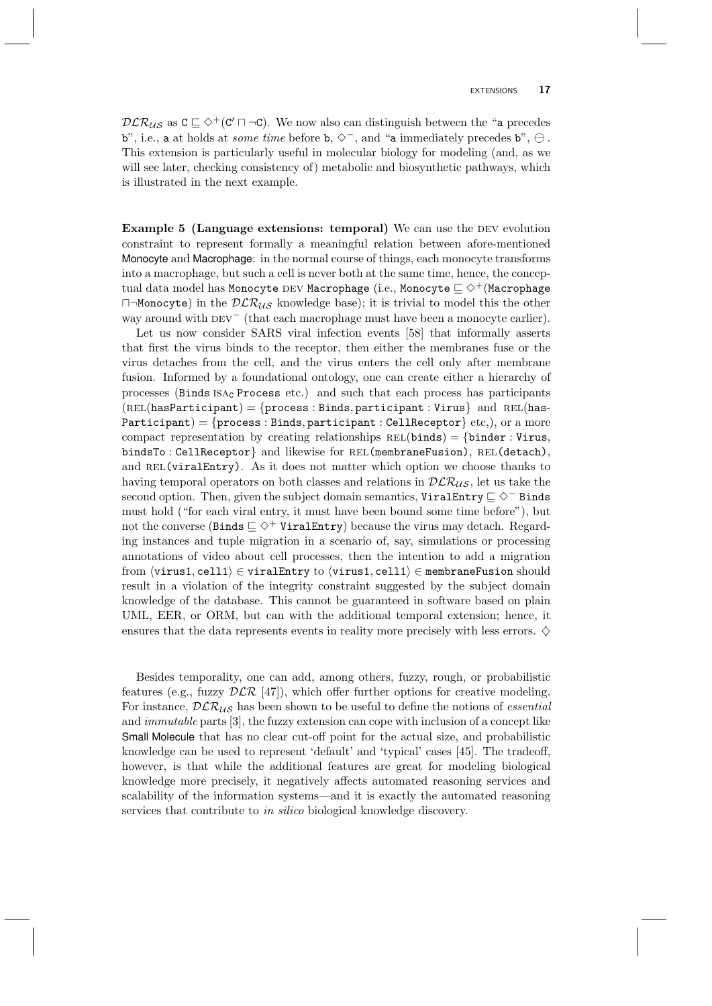$DLR_{US}$  as  $C \subseteq \Diamond^+(C' \sqcap \neg C)$ . We now also can distinguish between the "a precedes" b", i.e., a at holds at *some time* before b,  $\diamond$ <sup>−</sup>, and "a immediately precedes b",  $\ominus$ . This extension is particularly useful in molecular biology for modeling (and, as we will see later, checking consistency of) metabolic and biosynthetic pathways, which is illustrated in the next example.

Example 5 (Language extensions: temporal) We can use the DEV evolution constraint to represent formally a meaningful relation between afore-mentioned Monocyte and Macrophage: in the normal course of things, each monocyte transforms into a macrophage, but such a cell is never both at the same time, hence, the conceptual data model has Monocyte DEV Macrophage (i.e., Monocyte  $\subseteq \Diamond^+($ Macrophage  $\Box$ Monocyte) in the  $\mathcal{DLR}_{US}$  knowledge base); it is trivial to model this the other way around with dev<sup>−</sup> (that each macrophage must have been a monocyte earlier).

Let us now consider SARS viral infection events [58] that informally asserts that first the virus binds to the receptor, then either the membranes fuse or the virus detaches from the cell, and the virus enters the cell only after membrane fusion. Informed by a foundational ontology, one can create either a hierarchy of processes (Binds  $ISA<sub>G</sub>$  Process etc.) and such that each process has participants  $(REL(hasParticipant) = {process : binds, participant : Virus}$  and  $REL(has-$ Participant) =  ${preces : Binds,$  participant : CellReceptor  ${etc.}$ ), or a more compact representation by creating relationships  $REL(binds) = \{binder : Virus,$ bindsTo: CellReceptor { and likewise for REL(membraneFusion), REL(detach), and REL(viralEntry). As it does not matter which option we choose thanks to having temporal operators on both classes and relations in  $DLR_{US}$ , let us take the second option. Then, given the subject domain semantics, ViralEntry  $\subseteq \Diamond^{-}$  Binds must hold ("for each viral entry, it must have been bound some time before"), but not the converse (Binds  $\subseteq \Diamond^+$  ViralEntry) because the virus may detach. Regarding instances and tuple migration in a scenario of, say, simulations or processing annotations of video about cell processes, then the intention to add a migration from  $\langle \text{virus1}, \text{cell1}\rangle \in \text{viralEntry}$  to  $\langle \text{virus1}, \text{cell1}\rangle \in \text{membraneFusion}$  should result in a violation of the integrity constraint suggested by the subject domain knowledge of the database. This cannot be guaranteed in software based on plain UML, EER, or ORM, but can with the additional temporal extension; hence, it ensures that the data represents events in reality more precisely with less errors.  $\diamondsuit$ 

Besides temporality, one can add, among others, fuzzy, rough, or probabilistic features (e.g., fuzzy  $DLR$  [47]), which offer further options for creative modeling. For instance,  $DLR_{US}$  has been shown to be useful to define the notions of *essential* and immutable parts [3], the fuzzy extension can cope with inclusion of a concept like Small Molecule that has no clear cut-off point for the actual size, and probabilistic knowledge can be used to represent 'default' and 'typical' cases [45]. The tradeoff, however, is that while the additional features are great for modeling biological knowledge more precisely, it negatively affects automated reasoning services and scalability of the information systems—and it is exactly the automated reasoning services that contribute to *in silico* biological knowledge discovery.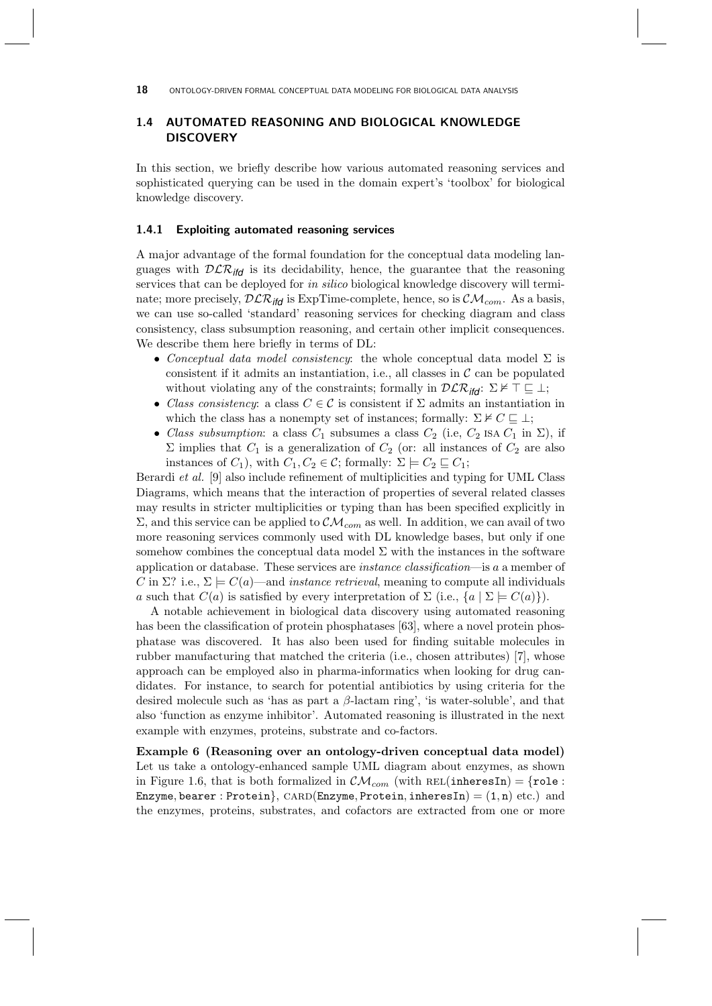# 1.4 AUTOMATED REASONING AND BIOLOGICAL KNOWLEDGE **DISCOVERY**

In this section, we briefly describe how various automated reasoning services and sophisticated querying can be used in the domain expert's 'toolbox' for biological knowledge discovery.

## 1.4.1 Exploiting automated reasoning services

A major advantage of the formal foundation for the conceptual data modeling languages with  $D\mathcal{LR}_{\mathit{iff}}$  is its decidability, hence, the guarantee that the reasoning services that can be deployed for in silico biological knowledge discovery will terminate; more precisely,  $\mathcal{DLR}_{\mathsf{iff}}$  is ExpTime-complete, hence, so is  $\mathcal{CM}_{com}$ . As a basis, we can use so-called 'standard' reasoning services for checking diagram and class consistency, class subsumption reasoning, and certain other implicit consequences. We describe them here briefly in terms of DL:

- Conceptual data model consistency: the whole conceptual data model  $\Sigma$  is consistent if it admits an instantiation, i.e., all classes in  $\mathcal C$  can be populated without violating any of the constraints; formally in  $\mathcal{DLR}_{\mathit{ifd}}$ :  $\Sigma \nvDash \top \sqsubseteq \bot$ ;
- Class consistency: a class  $C \in \mathcal{C}$  is consistent if  $\Sigma$  admits an instantiation in which the class has a nonempty set of instances; formally:  $\Sigma \not\vdash C \sqsubseteq \bot$ ;
- Class subsumption: a class  $C_1$  subsumes a class  $C_2$  (i.e,  $C_2$  is A  $C_1$  in  $\Sigma$ ), if  $\Sigma$  implies that  $C_1$  is a generalization of  $C_2$  (or: all instances of  $C_2$  are also instances of  $C_1$ ), with  $C_1, C_2 \in \mathcal{C}$ ; formally:  $\Sigma \models C_2 \sqsubseteq C_1$ ;

Berardi et al. [9] also include refinement of multiplicities and typing for UML Class Diagrams, which means that the interaction of properties of several related classes may results in stricter multiplicities or typing than has been specified explicitly in  $\Sigma$ , and this service can be applied to  $\mathcal{CM}_{com}$  as well. In addition, we can avail of two more reasoning services commonly used with DL knowledge bases, but only if one somehow combines the conceptual data model  $\Sigma$  with the instances in the software application or database. These services are instance classification—is a a member of C in  $\Sigma$ ? i.e.,  $\Sigma \models C(a)$ —and *instance retrieval*, meaning to compute all individuals a such that  $C(a)$  is satisfied by every interpretation of  $\Sigma$  (i.e.,  $\{a \mid \Sigma \models C(a)\}\)$ .

A notable achievement in biological data discovery using automated reasoning has been the classification of protein phosphatases [63], where a novel protein phosphatase was discovered. It has also been used for finding suitable molecules in rubber manufacturing that matched the criteria (i.e., chosen attributes) [7], whose approach can be employed also in pharma-informatics when looking for drug candidates. For instance, to search for potential antibiotics by using criteria for the desired molecule such as 'has as part a  $\beta$ -lactam ring', 'is water-soluble', and that also 'function as enzyme inhibitor'. Automated reasoning is illustrated in the next example with enzymes, proteins, substrate and co-factors.

Example 6 (Reasoning over an ontology-driven conceptual data model) Let us take a ontology-enhanced sample UML diagram about enzymes, as shown in Figure 1.6, that is both formalized in  $\mathcal{CM}_{com}$  (with REL(inheresIn) = {role: Enzyme, bearer : Protein $\}$ , CARD(Enzyme, Protein, inheresIn) =  $(1, n)$  etc.) and the enzymes, proteins, substrates, and cofactors are extracted from one or more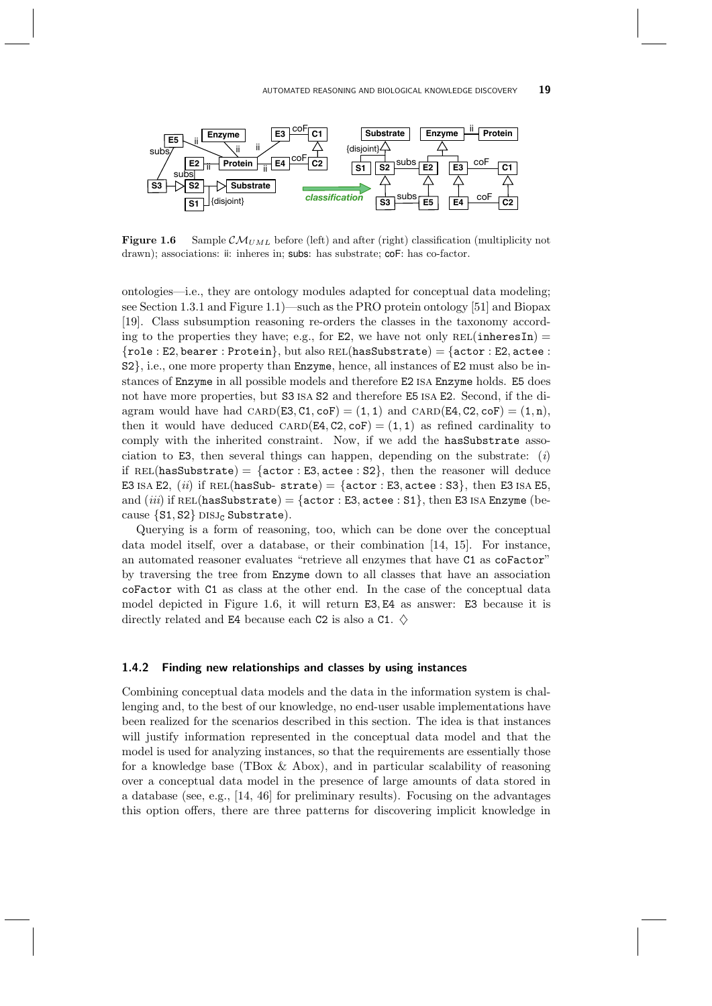

Figure 1.6 Sample  $\mathcal{CM}_{UML}$  before (left) and after (right) classification (multiplicity not drawn); associations: ii: inheres in; subs: has substrate; coF: has co-factor.

ontologies—i.e., they are ontology modules adapted for conceptual data modeling; see Section 1.3.1 and Figure 1.1)—such as the PRO protein ontology [51] and Biopax [19]. Class subsumption reasoning re-orders the classes in the taxonomy according to the properties they have; e.g., for E2, we have not only REL(inheresIn) =  ${role: E2, bearer : Protein}, but also REL(hassubstrate) = {actor : E2, actee :}$ S2}, i.e., one more property than Enzyme, hence, all instances of E2 must also be instances of Enzyme in all possible models and therefore E2 isa Enzyme holds. E5 does not have more properties, but S3 isa S2 and therefore E5 isa E2. Second, if the diagram would have had  $CARD(E3, C1, coF) = (1, 1)$  and  $CARD(E4, C2, coF) = (1, n)$ , then it would have deduced  $CARD(E4, C2, coF) = (1, 1)$  as refined cardinality to comply with the inherited constraint. Now, if we add the hasSubstrate association to E3, then several things can happen, depending on the substrate: (i) if REL(hasSubstrate) = { $actor : E3$ , actee : S2}, then the reasoner will deduce E3 ISA E2, (ii) if REL(hasSub- strate) =  $\{ \text{actor} : E3, \text{actee} : S3 \}$ , then E3 ISA E5, and (*iii*) if REL(hasSubstrate) = { $actor : E3$ , actee : S1}, then E3 ISA Enzyme (because  $\{S1, S2\}$  DISJ<sub>C</sub> Substrate).

Querying is a form of reasoning, too, which can be done over the conceptual data model itself, over a database, or their combination [14, 15]. For instance, an automated reasoner evaluates "retrieve all enzymes that have C1 as coFactor" by traversing the tree from Enzyme down to all classes that have an association coFactor with C1 as class at the other end. In the case of the conceptual data model depicted in Figure 1.6, it will return E3, E4 as answer: E3 because it is directly related and E4 because each C2 is also a C1.  $\diamondsuit$ 

#### 1.4.2 Finding new relationships and classes by using instances

Combining conceptual data models and the data in the information system is challenging and, to the best of our knowledge, no end-user usable implementations have been realized for the scenarios described in this section. The idea is that instances will justify information represented in the conceptual data model and that the model is used for analyzing instances, so that the requirements are essentially those for a knowledge base (TBox  $\&$  Abox), and in particular scalability of reasoning over a conceptual data model in the presence of large amounts of data stored in a database (see, e.g., [14, 46] for preliminary results). Focusing on the advantages this option offers, there are three patterns for discovering implicit knowledge in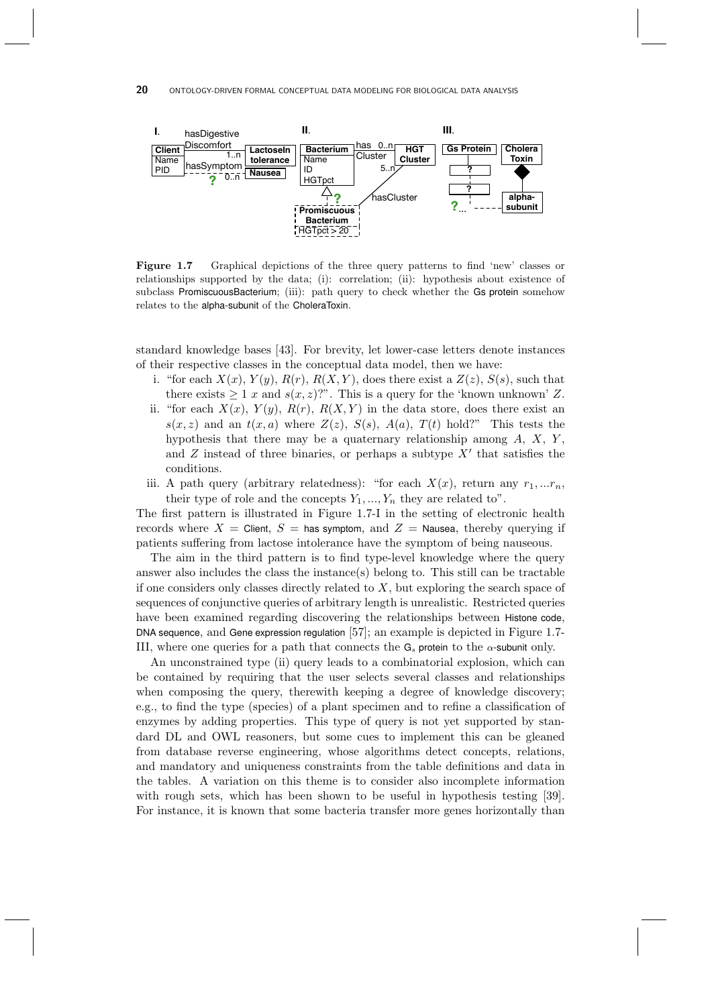

Figure 1.7 Graphical depictions of the three query patterns to find 'new' classes or relationships supported by the data; (i): correlation; (ii): hypothesis about existence of subclass PromiscuousBacterium; (iii): path query to check whether the Gs protein somehow relates to the alpha-subunit of the CholeraToxin.

standard knowledge bases [43]. For brevity, let lower-case letters denote instances of their respective classes in the conceptual data model, then we have:

- i. "for each  $X(x)$ ,  $Y(y)$ ,  $R(r)$ ,  $R(X, Y)$ , does there exist a  $Z(z)$ ,  $S(s)$ , such that there exists  $\geq 1$  x and  $s(x, z)$ ?". This is a query for the 'known unknown' Z.
- ii. "for each  $X(x)$ ,  $Y(y)$ ,  $R(r)$ ,  $R(X, Y)$  in the data store, does there exist an  $s(x, z)$  and an  $t(x, a)$  where  $Z(z)$ ,  $S(s)$ ,  $A(a)$ ,  $T(t)$  hold?" This tests the hypothesis that there may be a quaternary relationship among  $A, X, Y, \ldots$ and  $Z$  instead of three binaries, or perhaps a subtype  $X'$  that satisfies the conditions.
- iii. A path query (arbitrary relatedness): "for each  $X(x)$ , return any  $r_1, ... r_n$ , their type of role and the concepts  $Y_1, ..., Y_n$  they are related to".

The first pattern is illustrated in Figure 1.7-I in the setting of electronic health records where  $X =$  Client,  $S =$  has symptom, and  $Z =$  Nausea, thereby querying if patients suffering from lactose intolerance have the symptom of being nauseous.

The aim in the third pattern is to find type-level knowledge where the query answer also includes the class the instance(s) belong to. This still can be tractable if one considers only classes directly related to  $X$ , but exploring the search space of sequences of conjunctive queries of arbitrary length is unrealistic. Restricted queries have been examined regarding discovering the relationships between Histone code, DNA sequence, and Gene expression regulation [57]; an example is depicted in Figure 1.7- III, where one queries for a path that connects the  $G_s$  protein to the  $\alpha$ -subunit only.

An unconstrained type (ii) query leads to a combinatorial explosion, which can be contained by requiring that the user selects several classes and relationships when composing the query, therewith keeping a degree of knowledge discovery; e.g., to find the type (species) of a plant specimen and to refine a classification of enzymes by adding properties. This type of query is not yet supported by standard DL and OWL reasoners, but some cues to implement this can be gleaned from database reverse engineering, whose algorithms detect concepts, relations, and mandatory and uniqueness constraints from the table definitions and data in the tables. A variation on this theme is to consider also incomplete information with rough sets, which has been shown to be useful in hypothesis testing [39]. For instance, it is known that some bacteria transfer more genes horizontally than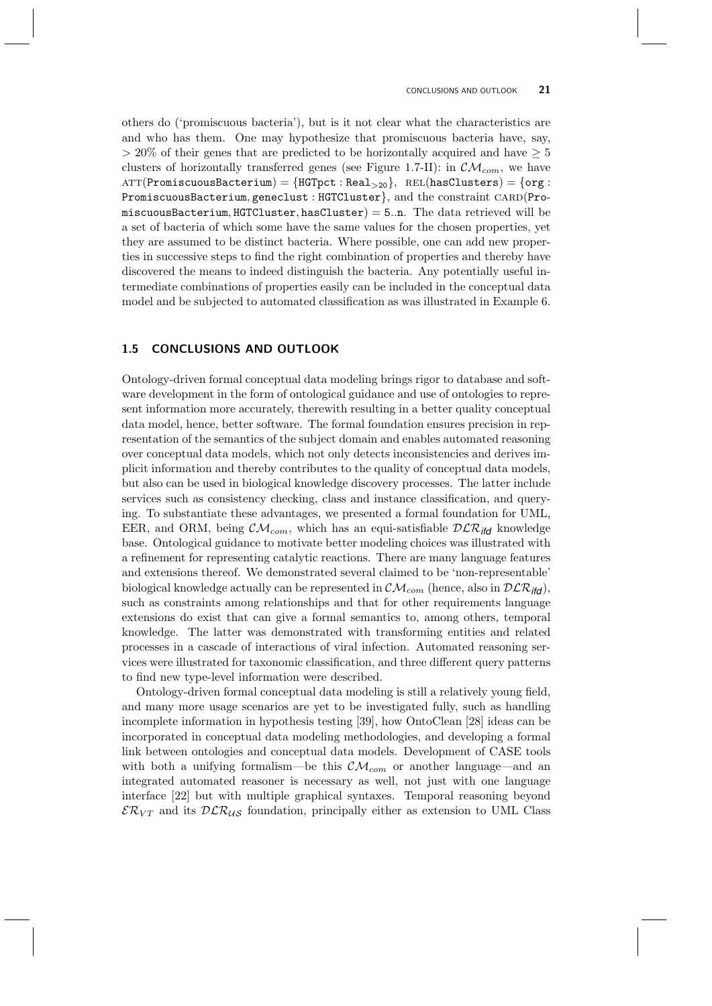others do ('promiscuous bacteria'), but is it not clear what the characteristics are and who has them. One may hypothesize that promiscuous bacteria have, say,  $> 20\%$  of their genes that are predicted to be horizontally acquired and have  $\geq 5$ clusters of horizontally transferred genes (see Figure 1.7-II): in  $\mathcal{CM}_{com}$ , we have  $ATT( PromiscuousBacterium) = {HGTpot : Real_{>20}, REL(hasClusters) = {org :}$ PromiscuousBacterium, geneclust : HGTCluster}, and the constraint CARD(Pro $m$ iscuousBacterium, HGTCluster, hasCluster) = 5..n. The data retrieved will be a set of bacteria of which some have the same values for the chosen properties, yet they are assumed to be distinct bacteria. Where possible, one can add new properties in successive steps to find the right combination of properties and thereby have discovered the means to indeed distinguish the bacteria. Any potentially useful intermediate combinations of properties easily can be included in the conceptual data model and be subjected to automated classification as was illustrated in Example 6.

# 1.5 CONCLUSIONS AND OUTLOOK

Ontology-driven formal conceptual data modeling brings rigor to database and software development in the form of ontological guidance and use of ontologies to represent information more accurately, therewith resulting in a better quality conceptual data model, hence, better software. The formal foundation ensures precision in representation of the semantics of the subject domain and enables automated reasoning over conceptual data models, which not only detects inconsistencies and derives implicit information and thereby contributes to the quality of conceptual data models, but also can be used in biological knowledge discovery processes. The latter include services such as consistency checking, class and instance classification, and querying. To substantiate these advantages, we presented a formal foundation for UML, EER, and ORM, being  $\mathcal{CM}_{com}$ , which has an equi-satisfiable  $\mathcal{DLR}_{\textit{ifd}}$  knowledge base. Ontological guidance to motivate better modeling choices was illustrated with a refinement for representing catalytic reactions. There are many language features and extensions thereof. We demonstrated several claimed to be 'non-representable' biological knowledge actually can be represented in  $\mathcal{CM}_{com}$  (hence, also in  $\mathcal{DLR}_{ifd}$ ), such as constraints among relationships and that for other requirements language extensions do exist that can give a formal semantics to, among others, temporal knowledge. The latter was demonstrated with transforming entities and related processes in a cascade of interactions of viral infection. Automated reasoning services were illustrated for taxonomic classification, and three different query patterns to find new type-level information were described.

Ontology-driven formal conceptual data modeling is still a relatively young field, and many more usage scenarios are yet to be investigated fully, such as handling incomplete information in hypothesis testing [39], how OntoClean [28] ideas can be incorporated in conceptual data modeling methodologies, and developing a formal link between ontologies and conceptual data models. Development of CASE tools with both a unifying formalism—be this  $\mathcal{CM}_{com}$  or another language—and an integrated automated reasoner is necessary as well, not just with one language interface [22] but with multiple graphical syntaxes. Temporal reasoning beyond  $\mathcal{ER}_{VT}$  and its  $\mathcal{DLR}_{US}$  foundation, principally either as extension to UML Class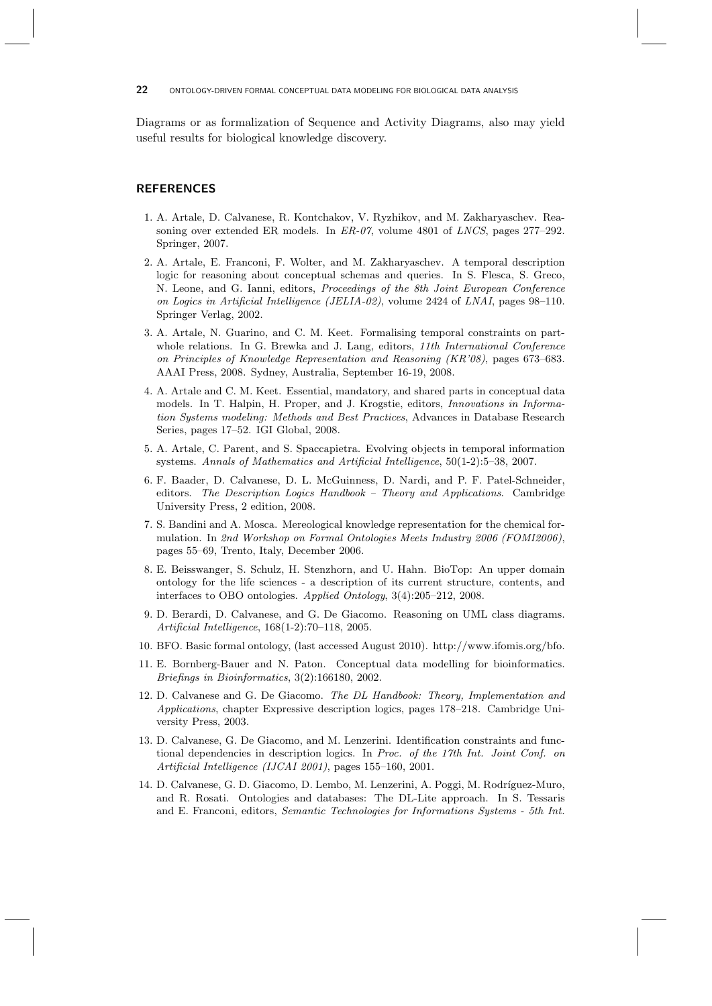Diagrams or as formalization of Sequence and Activity Diagrams, also may yield useful results for biological knowledge discovery.

# **REFERENCES**

- 1. A. Artale, D. Calvanese, R. Kontchakov, V. Ryzhikov, and M. Zakharyaschev. Reasoning over extended ER models. In ER-07, volume 4801 of LNCS, pages 277–292. Springer, 2007.
- 2. A. Artale, E. Franconi, F. Wolter, and M. Zakharyaschev. A temporal description logic for reasoning about conceptual schemas and queries. In S. Flesca, S. Greco, N. Leone, and G. Ianni, editors, Proceedings of the 8th Joint European Conference on Logics in Artificial Intelligence (JELIA-02), volume 2424 of LNAI, pages 98–110. Springer Verlag, 2002.
- 3. A. Artale, N. Guarino, and C. M. Keet. Formalising temporal constraints on partwhole relations. In G. Brewka and J. Lang, editors, 11th International Conference on Principles of Knowledge Representation and Reasoning (KR'08), pages 673–683. AAAI Press, 2008. Sydney, Australia, September 16-19, 2008.
- 4. A. Artale and C. M. Keet. Essential, mandatory, and shared parts in conceptual data models. In T. Halpin, H. Proper, and J. Krogstie, editors, Innovations in Information Systems modeling: Methods and Best Practices, Advances in Database Research Series, pages 17–52. IGI Global, 2008.
- 5. A. Artale, C. Parent, and S. Spaccapietra. Evolving objects in temporal information systems. Annals of Mathematics and Artificial Intelligence, 50(1-2):5–38, 2007.
- 6. F. Baader, D. Calvanese, D. L. McGuinness, D. Nardi, and P. F. Patel-Schneider, editors. The Description Logics Handbook – Theory and Applications. Cambridge University Press, 2 edition, 2008.
- 7. S. Bandini and A. Mosca. Mereological knowledge representation for the chemical formulation. In 2nd Workshop on Formal Ontologies Meets Industry 2006 (FOMI2006), pages 55–69, Trento, Italy, December 2006.
- 8. E. Beisswanger, S. Schulz, H. Stenzhorn, and U. Hahn. BioTop: An upper domain ontology for the life sciences - a description of its current structure, contents, and interfaces to OBO ontologies. Applied Ontology, 3(4):205–212, 2008.
- 9. D. Berardi, D. Calvanese, and G. De Giacomo. Reasoning on UML class diagrams. Artificial Intelligence, 168(1-2):70–118, 2005.
- 10. BFO. Basic formal ontology, (last accessed August 2010). http://www.ifomis.org/bfo.
- 11. E. Bornberg-Bauer and N. Paton. Conceptual data modelling for bioinformatics. Briefings in Bioinformatics, 3(2):166180, 2002.
- 12. D. Calvanese and G. De Giacomo. The DL Handbook: Theory, Implementation and Applications, chapter Expressive description logics, pages 178–218. Cambridge University Press, 2003.
- 13. D. Calvanese, G. De Giacomo, and M. Lenzerini. Identification constraints and functional dependencies in description logics. In Proc. of the 17th Int. Joint Conf. on Artificial Intelligence (IJCAI 2001), pages 155–160, 2001.
- 14. D. Calvanese, G. D. Giacomo, D. Lembo, M. Lenzerini, A. Poggi, M. Rodríguez-Muro, and R. Rosati. Ontologies and databases: The DL-Lite approach. In S. Tessaris and E. Franconi, editors, Semantic Technologies for Informations Systems - 5th Int.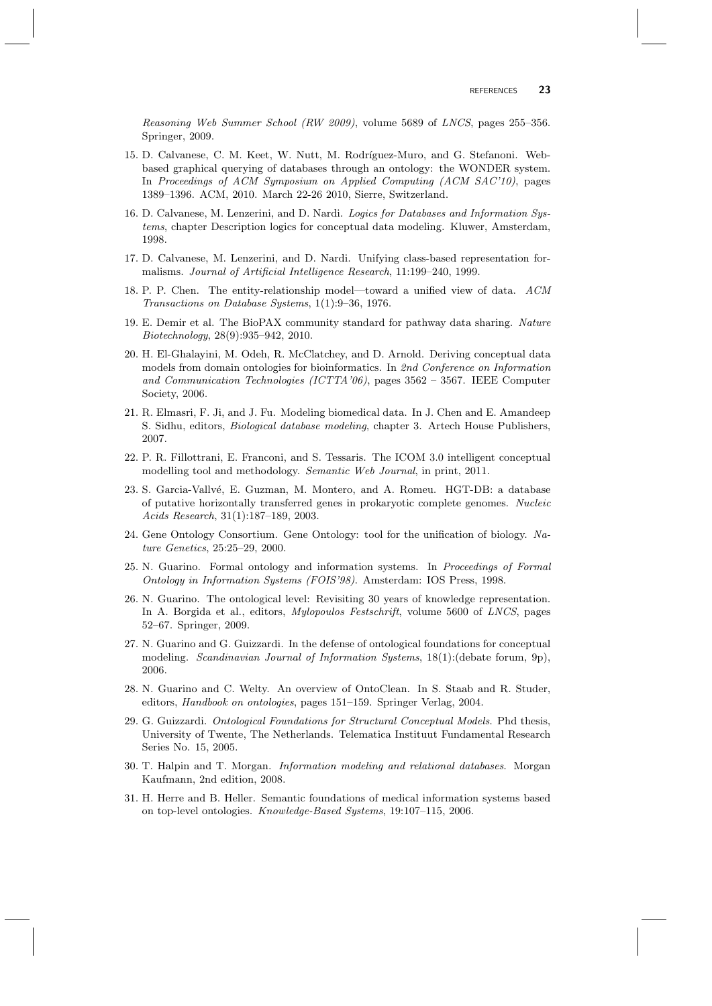Reasoning Web Summer School (RW 2009), volume 5689 of LNCS, pages 255–356. Springer, 2009.

- 15. D. Calvanese, C. M. Keet, W. Nutt, M. Rodríguez-Muro, and G. Stefanoni. Webbased graphical querying of databases through an ontology: the WONDER system. In Proceedings of ACM Symposium on Applied Computing (ACM SAC'10), pages 1389–1396. ACM, 2010. March 22-26 2010, Sierre, Switzerland.
- 16. D. Calvanese, M. Lenzerini, and D. Nardi. Logics for Databases and Information Systems, chapter Description logics for conceptual data modeling. Kluwer, Amsterdam, 1998.
- 17. D. Calvanese, M. Lenzerini, and D. Nardi. Unifying class-based representation formalisms. Journal of Artificial Intelligence Research, 11:199–240, 1999.
- 18. P. P. Chen. The entity-relationship model—toward a unified view of data. ACM Transactions on Database Systems, 1(1):9–36, 1976.
- 19. E. Demir et al. The BioPAX community standard for pathway data sharing. Nature Biotechnology, 28(9):935–942, 2010.
- 20. H. El-Ghalayini, M. Odeh, R. McClatchey, and D. Arnold. Deriving conceptual data models from domain ontologies for bioinformatics. In 2nd Conference on Information and Communication Technologies (ICTTA'06), pages 3562 – 3567. IEEE Computer Society, 2006.
- 21. R. Elmasri, F. Ji, and J. Fu. Modeling biomedical data. In J. Chen and E. Amandeep S. Sidhu, editors, Biological database modeling, chapter 3. Artech House Publishers, 2007.
- 22. P. R. Fillottrani, E. Franconi, and S. Tessaris. The ICOM 3.0 intelligent conceptual modelling tool and methodology. Semantic Web Journal, in print, 2011.
- 23. S. Garcia-Vallvé, E. Guzman, M. Montero, and A. Romeu. HGT-DB: a database of putative horizontally transferred genes in prokaryotic complete genomes. Nucleic Acids Research, 31(1):187–189, 2003.
- 24. Gene Ontology Consortium. Gene Ontology: tool for the unification of biology. Nature Genetics, 25:25–29, 2000.
- 25. N. Guarino. Formal ontology and information systems. In Proceedings of Formal Ontology in Information Systems (FOIS'98). Amsterdam: IOS Press, 1998.
- 26. N. Guarino. The ontological level: Revisiting 30 years of knowledge representation. In A. Borgida et al., editors, Mylopoulos Festschrift, volume 5600 of LNCS, pages 52–67. Springer, 2009.
- 27. N. Guarino and G. Guizzardi. In the defense of ontological foundations for conceptual modeling. Scandinavian Journal of Information Systems, 18(1): (debate forum, 9p), 2006.
- 28. N. Guarino and C. Welty. An overview of OntoClean. In S. Staab and R. Studer, editors, Handbook on ontologies, pages 151–159. Springer Verlag, 2004.
- 29. G. Guizzardi. Ontological Foundations for Structural Conceptual Models. Phd thesis, University of Twente, The Netherlands. Telematica Instituut Fundamental Research Series No. 15, 2005.
- 30. T. Halpin and T. Morgan. Information modeling and relational databases. Morgan Kaufmann, 2nd edition, 2008.
- 31. H. Herre and B. Heller. Semantic foundations of medical information systems based on top-level ontologies. Knowledge-Based Systems, 19:107–115, 2006.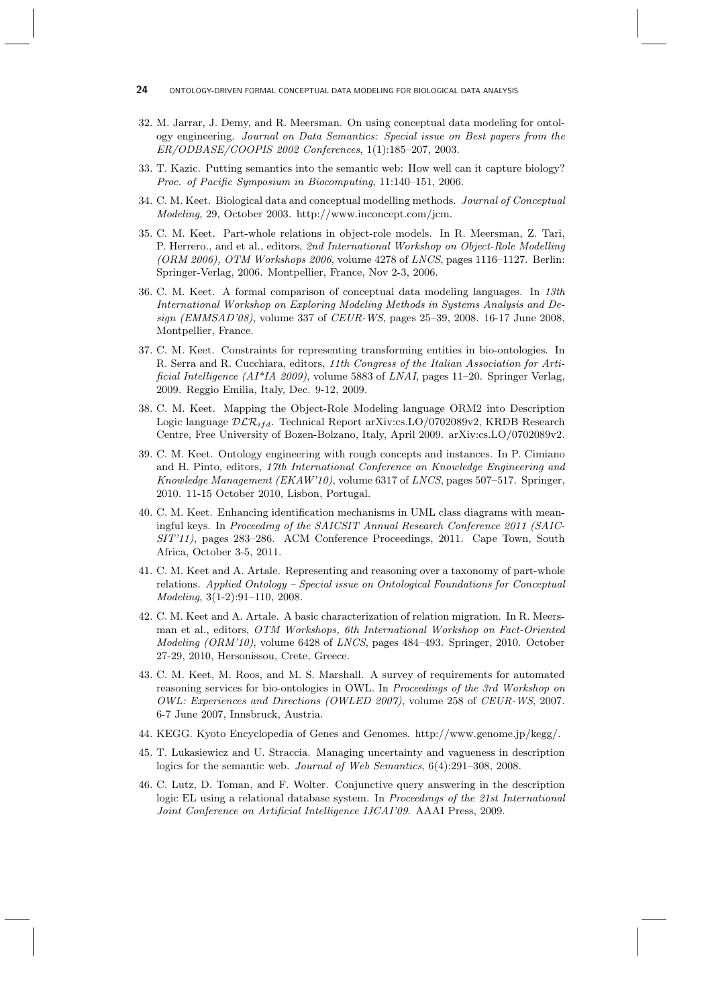- 24 ONTOLOGY-DRIVEN FORMAL CONCEPTUAL DATA MODELING FOR BIOLOGICAL DATA ANALYSIS
- 32. M. Jarrar, J. Demy, and R. Meersman. On using conceptual data modeling for ontology engineering. Journal on Data Semantics: Special issue on Best papers from the ER/ODBASE/COOPIS 2002 Conferences, 1(1):185–207, 2003.
- 33. T. Kazic. Putting semantics into the semantic web: How well can it capture biology? Proc. of Pacific Symposium in Biocomputing, 11:140–151, 2006.
- 34. C. M. Keet. Biological data and conceptual modelling methods. Journal of Conceptual Modeling, 29, October 2003. http://www.inconcept.com/jcm.
- 35. C. M. Keet. Part-whole relations in object-role models. In R. Meersman, Z. Tari, P. Herrero., and et al., editors, 2nd International Workshop on Object-Role Modelling (ORM 2006), OTM Workshops 2006, volume 4278 of LNCS, pages 1116–1127. Berlin: Springer-Verlag, 2006. Montpellier, France, Nov 2-3, 2006.
- 36. C. M. Keet. A formal comparison of conceptual data modeling languages. In 13th International Workshop on Exploring Modeling Methods in Systems Analysis and Design (EMMSAD'08), volume 337 of CEUR-WS, pages 25–39, 2008. 16-17 June 2008, Montpellier, France.
- 37. C. M. Keet. Constraints for representing transforming entities in bio-ontologies. In R. Serra and R. Cucchiara, editors, 11th Congress of the Italian Association for Artificial Intelligence ( $AI*IA$  2009), volume 5883 of LNAI, pages 11–20. Springer Verlag, 2009. Reggio Emilia, Italy, Dec. 9-12, 2009.
- 38. C. M. Keet. Mapping the Object-Role Modeling language ORM2 into Description Logic language  $D\mathcal{LR}_{ifd}$ . Technical Report arXiv:cs.LO/0702089v2, KRDB Research Centre, Free University of Bozen-Bolzano, Italy, April 2009. arXiv:cs.LO/0702089v2.
- 39. C. M. Keet. Ontology engineering with rough concepts and instances. In P. Cimiano and H. Pinto, editors, 17th International Conference on Knowledge Engineering and Knowledge Management (EKAW'10), volume 6317 of LNCS, pages 507–517. Springer, 2010. 11-15 October 2010, Lisbon, Portugal.
- 40. C. M. Keet. Enhancing identification mechanisms in UML class diagrams with meaningful keys. In Proceeding of the SAICSIT Annual Research Conference 2011 (SAIC-SIT'11), pages 283–286. ACM Conference Proceedings, 2011. Cape Town, South Africa, October 3-5, 2011.
- 41. C. M. Keet and A. Artale. Representing and reasoning over a taxonomy of part-whole relations. Applied Ontology – Special issue on Ontological Foundations for Conceptual Modeling, 3(1-2):91–110, 2008.
- 42. C. M. Keet and A. Artale. A basic characterization of relation migration. In R. Meersman et al., editors, OTM Workshops, 6th International Workshop on Fact-Oriented *Modeling*  $(ORM'10)$ *, volume 6428 of LNCS, pages 484–493. Springer, 2010. October* 27-29, 2010, Hersonissou, Crete, Greece.
- 43. C. M. Keet, M. Roos, and M. S. Marshall. A survey of requirements for automated reasoning services for bio-ontologies in OWL. In Proceedings of the 3rd Workshop on OWL: Experiences and Directions (OWLED 2007), volume 258 of CEUR-WS, 2007. 6-7 June 2007, Innsbruck, Austria.
- 44. KEGG. Kyoto Encyclopedia of Genes and Genomes. http://www.genome.jp/kegg/.
- 45. T. Lukasiewicz and U. Straccia. Managing uncertainty and vagueness in description logics for the semantic web. Journal of Web Semantics, 6(4):291–308, 2008.
- 46. C. Lutz, D. Toman, and F. Wolter. Conjunctive query answering in the description logic EL using a relational database system. In *Proceedings of the 21st International* Joint Conference on Artificial Intelligence IJCAI'09. AAAI Press, 2009.